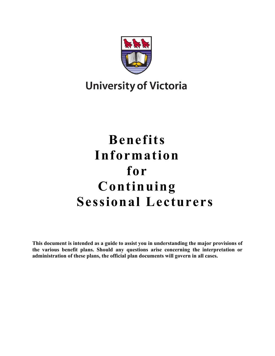

# **University of Victoria**

# **Benefits Information for Continuing Sessional Lecturers**

**This document is intended as a guide to assist you in understanding the major provisions of the various benefit plans. Should any questions arise concerning the interpretation or administration of these plans, the official plan documents will govern in all cases.**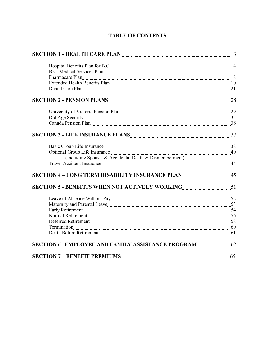| <b>TABLE OF CONTENTS</b> |  |
|--------------------------|--|
|--------------------------|--|

| Hospital Benefits Plan for B.C. [11] Marcus Marcus Marcus Marcus Marcus Marcus Marcus Marcus Marcus 4                                                                                                                         |  |
|-------------------------------------------------------------------------------------------------------------------------------------------------------------------------------------------------------------------------------|--|
| B.C. Medical Services Plan 2000 Plan 2000 Plan 2000 Plan 3000 Plan 3000 Plan 3000 Plan 3000 Plan 3000 Plan 3000 Plan 3000 Plan 3000 Plan 3000 Plan 3000 Plan 3000 Plan 3000 Plan 3000 Plan 3000 Plan 3000 Plan 3000 Plan 3000 |  |
| Pharmacare Plan 2000 March 2010 March 2010 March 2010 March 2010 March 2010 March 2010 March 2010 March 2010 Ma                                                                                                               |  |
|                                                                                                                                                                                                                               |  |
| Dental Care Plan 21                                                                                                                                                                                                           |  |
|                                                                                                                                                                                                                               |  |
|                                                                                                                                                                                                                               |  |
| Old Age Security 25                                                                                                                                                                                                           |  |
| Canada Pension Plan 26 and 2010 and 2010 and 2010 and 2010 and 2010 and 2010 and 2010 and 2010 and 2010 and 20                                                                                                                |  |
|                                                                                                                                                                                                                               |  |
| Basic Group Life Insurance <b>Material Contract Contract 2018</b> 38                                                                                                                                                          |  |
|                                                                                                                                                                                                                               |  |
| (Including Spousal & Accidental Death & Dismemberment)<br>Travel Accident Insurance 144                                                                                                                                       |  |
|                                                                                                                                                                                                                               |  |
|                                                                                                                                                                                                                               |  |
| Leave of Absence Without Pay 2000 Martin 1990 March 2010 March 2010 March 2010 March 2010 March 2010 March 201                                                                                                                |  |
|                                                                                                                                                                                                                               |  |
|                                                                                                                                                                                                                               |  |
|                                                                                                                                                                                                                               |  |
| Deferred Retirement [111] 58                                                                                                                                                                                                  |  |
|                                                                                                                                                                                                                               |  |
| Death Before Retirement [111] [61] Death Before Retirement [11] [61] Manuscritt, 2004.                                                                                                                                        |  |
| SECTION 6-EMPLOYEE AND FAMILY ASSISTANCE PROGRAM 62                                                                                                                                                                           |  |
|                                                                                                                                                                                                                               |  |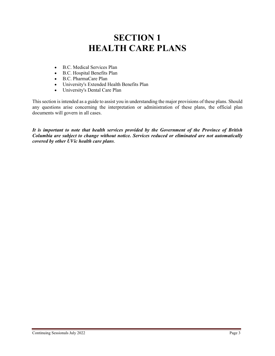# **SECTION 1 HEALTH CARE PLANS**

- B.C. Medical Services Plan
- B.C. Hospital Benefits Plan
- B.C. PharmaCare Plan
- University's Extended Health Benefits Plan
- University's Dental Care Plan

This section is intended as a guide to assist you in understanding the major provisions of these plans. Should any questions arise concerning the interpretation or administration of these plans, the official plan documents will govern in all cases.

*It is important to note that health services provided by the Government of the Province of British Columbia are subject to change without notice. Services reduced or eliminated are not automatically covered by other UVic health care plans*.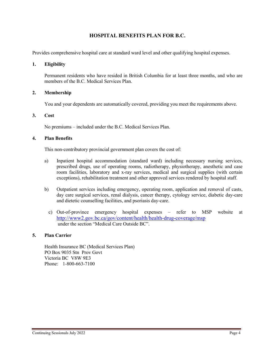# **HOSPITAL BENEFITS PLAN FOR B.C.**

Provides comprehensive hospital care at standard ward level and other qualifying hospital expenses.

#### **1. Eligibility**

Permanent residents who have resided in British Columbia for at least three months, and who are members of the B.C. Medical Services Plan.

#### **2. Membership**

You and your dependents are automatically covered, providing you meet the requirements above.

#### **3. Cost**

No premiums – included under the B.C. Medical Services Plan.

#### **4. Plan Benefits**

This non-contributory provincial government plan covers the cost of:

- a) Inpatient hospital accommodation (standard ward) including necessary nursing services, prescribed drugs, use of operating rooms, radiotherapy, physiotherapy, anesthetic and case room facilities, laboratory and x-ray services, medical and surgical supplies (with certain exceptions), rehabilitation treatment and other approved services rendered by hospital staff.
- b) Outpatient services including emergency, operating room, application and removal of casts, day care surgical services, renal dialysis, cancer therapy, cytology service, diabetic day-care and dietetic counselling facilities, and psoriasis day-care.
	- c) Out-of-province emergency hospital expenses refer to MSP website at <http://www2.gov.bc.ca/gov/content/health/health-drug-coverage/msp> under the section "Medical Care Outside BC".

#### **5. Plan Carrier**

Health Insurance BC (Medical Services Plan) PO Box 9035 Stn Prov Govt Victoria BC V8W 9E3 Phone: 1-800-663-7100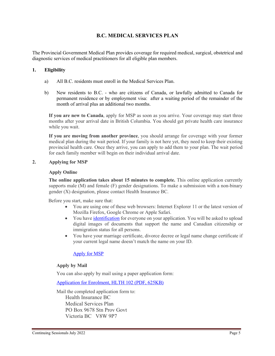# **B.C. MEDICAL SERVICES PLAN**

The Provincial Government Medical Plan provides coverage for required medical, surgical, obstetrical and diagnostic services of medical practitioners for all eligible plan members.

#### **1. Eligibility**

- a) All B.C. residents must enroll in the Medical Services Plan.
- b) New residents to B.C. who are citizens of Canada, or lawfully admitted to Canada for permanent residence or by employment visa: after a waiting period of the remainder of the month of arrival plus an additional two months.

**If you are new to Canada**, apply for MSP as soon as you arrive. Your coverage may start three months after your arrival date in British Columbia. You should get private health care insurance while you wait.

**If you are moving from another province**, you should arrange for coverage with your former medical plan during the wait period. If your family is not here yet, they need to keep their existing provincial health care. Once they arrive, you can apply to add them to your plan. The wait period for each family member will begin on their individual arrival date.

#### **2. Applying for MSP**

#### **Apply Online**

**The online application takes about 15 minutes to complete.** This online application currently supports male (M) and female (F) gender designations. To make a submission with a non-binary gender (X) designation, please contact Health Insurance BC.

Before you start, make sure that:

- You are using one of these web browsers: Internet Explorer 11 or the latest version of Mozilla Firefox, Google Chrome or Apple Safari.
- You hav[e identification](https://www2.gov.bc.ca/gov/content/health/health-drug-coverage/msp/bc-residents/eligibility-and-enrolment/how-to-enrol/id-requirements) for everyone on your application. You will be asked to upload digital images of documents that support the name and Canadian citizenship or immigration status for all persons.
- You have your marriage certificate, divorce decree or legal name change certificate if your current legal name doesn't match the name on your ID.

# [Apply for MSP](https://my.gov.bc.ca/msp/application)

# **Apply by Mail**

You can also apply by mail using a paper application form:

[Application for Enrolment, HLTH 102 \(PDF, 625KB\)](http://www2.gov.bc.ca/assets/gov/health/forms/102fil.pdf)

Mail the completed application form to: Health Insurance BC Medical Services Plan PO Box 9678 Stn Prov Govt Victoria BC V8W 9P7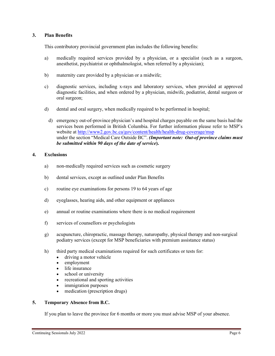### **3. Plan Benefits**

This contributory provincial government plan includes the following benefits:

- a) medically required services provided by a physician, or a specialist (such as a surgeon, anesthetist, psychiatrist or ophthalmologist, when referred by a physician);
- b) maternity care provided by a physician or a midwife;
- c) diagnostic services, including x-rays and laboratory services, when provided at approved diagnostic facilities, and when ordered by a physician, midwife, podiatrist, dental surgeon or oral surgeon;
- d) dental and oral surgery, when medically required to be performed in hospital;
	- d) emergency out-of-province physician's and hospital charges payable on the same basis had the services been performed in British Columbia. For further information please refer to MSP's website at <http://www2.gov.bc.ca/gov/content/health/health-drug-coverage/msp> under the section "Medical Care Outside BC". *(Important note: Out-of province claims must be submitted within 90 days of the date of service***).**

#### **4. Exclusions**

- a) non-medically required services such as cosmetic surgery
- b) dental services, except as outlined under Plan Benefits
- c) routine eye examinations for persons 19 to 64 years of age
- d) eyeglasses, hearing aids, and other equipment or appliances
- e) annual or routine examinations where there is no medical requirement
- f) services of counsellors or psychologists
- g) acupuncture, chiropractic, massage therapy, naturopathy, physical therapy and non-surgical podiatry services (except for MSP beneficiaries with premium assistance status)
- h) third party medical examinations required for such certificates or tests for:
	- driving a motor vehicle
	- employment
	- life insurance
	- school or university
	- recreational and sporting activities
	- immigration purposes
	- medication (prescription drugs)

#### **5. Temporary Absence from B.C.**

If you plan to leave the province for 6 months or more you must advise MSP of your absence.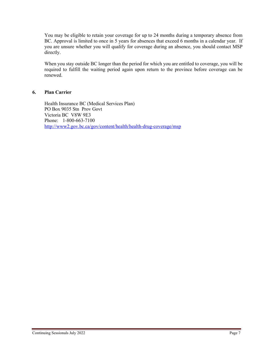You may be eligible to retain your coverage for up to 24 months during a temporary absence from BC. Approval is limited to once in 5 years for absences that exceed 6 months in a calendar year. If you are unsure whether you will qualify for coverage during an absence, you should contact MSP directly.

When you stay outside BC longer than the period for which you are entitled to coverage, you will be required to fulfill the waiting period again upon return to the province before coverage can be renewed.

#### **6. Plan Carrier**

Health Insurance BC (Medical Services Plan) PO Box 9035 Stn Prov Govt Victoria BC V8W 9E3 Phone: 1-800-663-7100 <http://www2.gov.bc.ca/gov/content/health/health-drug-coverage/msp>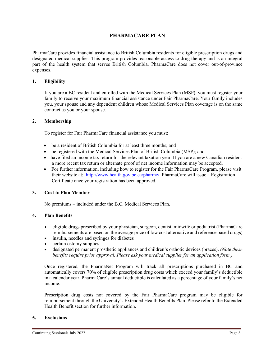# **PHARMACARE PLAN**

PharmaCare provides financial assistance to British Columbia residents for eligible prescription drugs and designated medical supplies. This program provides reasonable access to drug therapy and is an integral part of the health system that serves British Columbia. PharmaCare does not cover out-of-province expenses.

#### **1. Eligibility**

If you are a BC resident and enrolled with the Medical Services Plan (MSP), you must register your family to receive your maximum financial assistance under Fair PharmaCare. Your family includes you, your spouse and any dependent children whose Medical Services Plan coverage is on the same contract as you or your spouse.

#### **2. Membership**

To register for Fair PharmaCare financial assistance you must:

- be a resident of British Columbia for at least three months; and
- be registered with the Medical Services Plan of British Columbia (MSP); and
- have filed an income tax return for the relevant taxation year. If you are a new Canadian resident a more recent tax return or alternate proof of net income information may be accepted.
- For further information, including how to register for the Fair PharmaCare Program, please visit their website at: [http://www.health.gov.bc.ca/pharme/.](http://www.health.gov.bc.ca/pharme/) PharmaCare will issue a Registration Certificate once your registration has been approved.

#### **3. Cost to Plan Member**

No premiums – included under the B.C. Medical Services Plan.

#### **4. Plan Benefits**

- eligible drugs prescribed by your physician, surgeon, dentist, midwife or podiatrist (PharmaCare reimbursements are based on the average price of low cost alternative and reference based drugs)
- insulin, needles and syringes for diabetes
- certain ostomy supplies
- designated permanent prosthetic appliances and children's orthotic devices (braces). *(Note these benefits require prior approval. Please ask your medical supplier for an application form.)*

Once registered, the PharmaNet Program will track all prescriptions purchased in BC and automatically covers 70% of eligible prescription drug costs which exceed your family's deductible in a calendar year. PharmaCare's annual deductible is calculated as a percentage of your family's net income.

Prescription drug costs not covered by the Fair PharmaCare program may be eligible for reimbursement through the University's Extended Health Benefits Plan. Please refer to the Extended Health Benefit section for further information.

#### **5. Exclusions**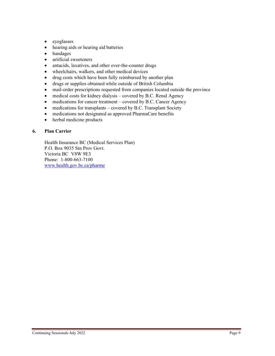- eyeglasses
- hearing aids or hearing aid batteries
- bandages
- artificial sweeteners
- antacids, laxatives, and other over-the-counter drugs
- wheelchairs, walkers, and other medical devices
- drug costs which have been fully reimbursed by another plan
- drugs or supplies obtained while outside of British Columbia
- mail-order prescriptions requested from companies located outside the province
- medical costs for kidney dialysis covered by B.C. Renal Agency
- medications for cancer treatment covered by B.C. Cancer Agency
- medications for transplants covered by B.C. Transplant Society
- medications not designated as approved PharmaCare benefits
- herbal medicine products

### **6. Plan Carrier**

Health Insurance BC (Medical Services Plan) P.O. Box 9035 Stn Prov Govt. Victoria BC V8W 9E3 Phone: 1-800-663-7100 [www.health.gov.bc.ca/pharme](http://www.health.gov.bc.ca/pharme)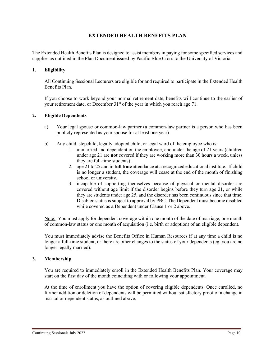# **EXTENDED HEALTH BENEFITS PLAN**

The Extended Health Benefits Plan is designed to assist members in paying for some specified services and supplies as outlined in the Plan Document issued by Pacific Blue Cross to the University of Victoria.

#### **1. Eligibility**

All Continuing Sessional Lecturers are eligible for and required to participate in the Extended Health Benefits Plan.

If you choose to work beyond your normal retirement date, benefits will continue to the earlier of your retirement date, or December 31<sup>st</sup> of the year in which you reach age 71.

#### **2. Eligible Dependents**

- a) Your legal spouse or common-law partner (a common-law partner is a person who has been publicly represented as your spouse for at least one year).
- b) Any child, stepchild, legally adopted child, or legal ward of the employee who is:
	- 1. unmarried and dependent on the employee, and under the age of 21 years (children under age 21 are **not** covered if they are working more than 30 hours a week, unless they are full-time students).
	- 2. age 21 to 25 and in **full time** attendance at a recognized educational institute. If child is no longer a student, the coverage will cease at the end of the month of finishing school or university.
	- 3. incapable of supporting themselves because of physical or mental disorder are covered without age limit if the disorder begins before they turn age 21, or while they are students under age 25, and the disorder has been continuous since that time. Disabled status is subject to approval by PBC. The Dependent must become disabled while covered as a Dependent under Clause 1 or 2 above.

Note: You must apply for dependent coverage within one month of the date of marriage, one month of common-law status or one month of acquisition (i.e. birth or adoption) of an eligible dependent.

You must immediately advise the Benefits Office in Human Resources if at any time a child is no longer a full-time student, or there are other changes to the status of your dependents (eg. you are no longer legally married).

#### **3. Membership**

You are required to immediately enroll in the Extended Health Benefits Plan. Your coverage may start on the first day of the month coinciding with or following your appointment.

At the time of enrollment you have the option of covering eligible dependents. Once enrolled, no further addition or deletion of dependents will be permitted without satisfactory proof of a change in marital or dependent status, as outlined above.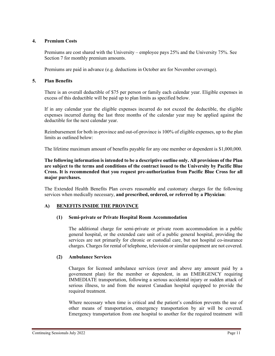#### **4. Premium Costs**

Premiums are cost shared with the University – employee pays 25% and the University 75%. See Section 7 for monthly premium amounts.

Premiums are paid in advance (e.g. deductions in October are for November coverage).

#### **5. Plan Benefits**

There is an overall deductible of \$75 per person or family each calendar year. Eligible expenses in excess of this deductible will be paid up to plan limits as specified below.

If in any calendar year the eligible expenses incurred do not exceed the deductible, the eligible expenses incurred during the last three months of the calendar year may be applied against the deductible for the next calendar year.

Reimbursement for both in-province and out-of-province is 100% of eligible expenses, up to the plan limits as outlined below:

The lifetime maximum amount of benefits payable for any one member or dependent is \$1,000,000.

**The following information is intended to be a descriptive outline only. All provisions of the Plan are subject to the terms and conditions of the contract issued to the University by Pacific Blue Cross. It is recommended that you request pre-authorization from Pacific Blue Cross for all major purchases.**

The Extended Health Benefits Plan covers reasonable and customary charges for the following services when medically necessary, **and prescribed, ordered, or referred by a Physician**:

# **A) BENEFITS INSIDE THE PROVINCE**

#### **(1) Semi-private or Private Hospital Room Accommodation**

The additional charge for semi-private or private room accommodation in a public general hospital, or the extended care unit of a public general hospital, providing the services are not primarily for chronic or custodial care, but not hospital co-insurance charges. Charges for rental of telephone, television or similar equipment are not covered.

#### **(2) Ambulance Services**

Charges for licensed ambulance services (over and above any amount paid by a government plan) for the member or dependent, in an EMERGENCY requiring IMMEDIATE transportation, following a serious accidental injury or sudden attack of serious illness, to and from the nearest Canadian hospital equipped to provide the required treatment.

Where necessary when time is critical and the patient's condition prevents the use of other means of transportation, emergency transportation by air will be covered. Emergency transportation from one hospital to another for the required treatment will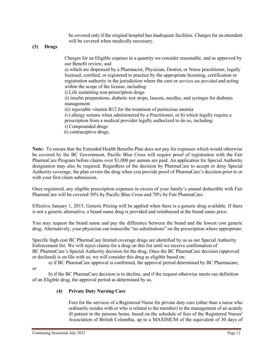be covered only if the original hospital has inadequate facilities. Charges for an attendant will be covered when medically necessary.

#### **(3) Drugs**

Charges for an Eligible expense in a quantity we consider reasonable, and as approved by our Benefit review, and

a) which are dispensed by a Pharmacist, Physician, Dentist, or Nurse practitioner, legally licensed, certified, or registered to practice by the appropriate licensing, certification or registration authority in the jurisdiction where the care or services are provided and acting within the scope of the license, including:

i) Life sustaining non-prescription drugs

ii) insulin preparations, diabetic test strips, lancets, needles, and syringes for diabetes management

iii) injectable vitamin B12 for the treatment of pernicious anemia

iv) allergy serums when administered by a Practitioner, or b) which legally require a prescription from a medical provider legally authorized to do so, including:

i) Compounded drugs

ii) contraceptive drugs.

**Note:** To ensure that the Extended Health Benefits Plan does not pay for expenses which would otherwise be covered by the BC Government, Pacific Blue Cross will require proof of registration with the Fair PharmaCare Program before claims over \$1,000 per annum are paid. An application for Special Authority designation may also be required. Regardless of the decision by PharmaCare to accept or deny Special Authority coverage, the plan covers the drug when you provide proof of PharmaCare's decision prior to or with your first claim submission.

Once registered, any eligible prescription expenses in excess of your family's annual deductible with Fair PharmaCare will be covered 30% by Pacific Blue Cross and 70% by Fair PharmaCare.

Effective January 1, 2015, Generic Pricing will be applied when there is a generic drug available. If there is not a generic alternative, a brand name drug is provided and reimbursed at the brand name price.

You may request the brand name and pay the difference between the brand and the lowest cost generic drug. Alternatively, your physician can transcribe "no substitutions" on the prescription where appropriate.

Specific high cost BC PharmaCare limited coverage drugs are identified by us as our Special Authority Enforcement list. We will reject claims for a drug on this list until we receive confirmation of BC PharmaCare's Special Authority decision for the drug. Once the BC PharmaCare decision (approved or declined) is on file with us, we will consider this drug as eligible based on:

a) if BC PharmaCare approval is confirmed, the approval period determined by BC Pharmacare,

or

b) if the BC PharmaCare decision is to decline, and if the request otherwise meets our definition of an Eligible drug, the approval period as determined by us.

#### **(4) Private Duty Nursing Care**

Fees for the services of a Registered Nurse for private duty care (other than a nurse who ordinarily resides with or who is related to the member) in the management of an acutely ill patient in the persons home, based on the schedule of fees of the Registered Nurses' Association of British Columbia, up to a MAXIMUM of the equivalent of 30 days of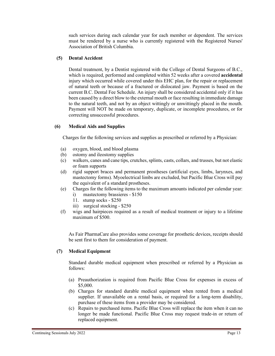such services during each calendar year for each member or dependent. The services must be rendered by a nurse who is currently registered with the Registered Nurses' Association of British Columbia.

#### **(5) Dental Accident**

Dental treatment, by a Dentist registered with the College of Dental Surgeons of B.C., which is required, performed and completed within 52 weeks after a covered **accidental** injury which occurred while covered under this EHC plan, for the repair or replacement of natural teeth or because of a fractured or dislocated jaw. Payment is based on the current B.C. Dental Fee Schedule. An injury shall be considered accidental only if it has been caused by a direct blow to the external mouth or face resulting in immediate damage to the natural teeth, and not by an object wittingly or unwittingly placed in the mouth. Payment will NOT be made on temporary, duplicate, or incomplete procedures, or for correcting unsuccessful procedures.

#### **(6) Medical Aids and Supplies**

Charges for the following services and supplies as prescribed or referred by a Physician:

- (a) oxygen, blood, and blood plasma
- (b) ostomy and ileostomy supplies
- (c) walkers, canes and cane tips, crutches, splints, casts, collars, and trusses, but not elastic or foam supports
- (d) rigid support braces and permanent prostheses (artificial eyes, limbs, larynxes, and mastectomy forms). Myoelectrical limbs are excluded, but Pacific Blue Cross will pay the equivalent of a standard prostheses.
- (e) Charges for the following items to the maximum amounts indicated per calendar year:
	- i) mastectomy brassieres \$150
	- 11. stump socks \$250
	- iii) surgical stocking \$250
- (f) wigs and hairpieces required as a result of medical treatment or injury to a lifetime maximum of \$500.

As Fair PharmaCare also provides some coverage for prosthetic devices, receipts should be sent first to them for consideration of payment.

# **(7) Medical Equipment**

Standard durable medical equipment when prescribed or referred by a Physician as follows:

- (a) Preauthorization is required from Pacific Blue Cross for expenses in excess of \$5,000.
- (b) Charges for standard durable medical equipment when rented from a medical supplier. If unavailable on a rental basis, or required for a long-term disability, purchase of these items from a provider may be considered.
- (c) Repairs to purchased items. Pacific Blue Cross will replace the item when it can no longer be made functional. Pacific Blue Cross may request trade-in or return of replaced equipment.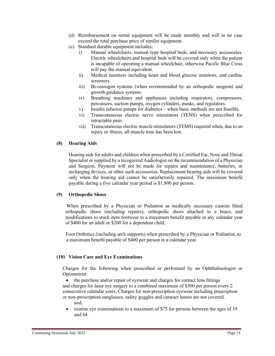- (d) Reimbursement on rental equipment will be made monthly and will in no case exceed the total purchase price of similar equipment.
- (e) Standard durable equipment includes:
	- i) Manual wheelchairs, manual type hospital beds, and necessary accessories. Electric wheelchairs and hospital beds will be covered only when the patient is incapable of operating a manual wheelchair, otherwise Pacific Blue Cross will pay the manual equivalent.
	- ii) Medical monitors including heart and blood glucose monitors, and cardiac screeners.
	- iii) Bi-osteogen systems (when recommended by an orthopedic surgeon) and growth guidance systems.
	- iv) Breathing machines and appliances including respirators, compressors, percussors, suction pumps, oxygen cylinders, masks, and regulators.
	- v) Insulin infusion pumps for diabetics when basic methods are not feasible.
	- vi) Transcutaneous electric nerve stimulators (TENS) when prescribed for intractable pain.
	- vii) Transcutaneous electric muscle stimulators (TEMS) required when, due to an injury or illness, all muscle tone has been lost.

# **(8) Hearing Aids**

Hearing aids for adults and children when prescribed by a Certified Ear, Nose and Throat Specialist or supplied by a recognized Audiologist on the recommendation of a Physician and Surgeon. Payment will not be made for repairs and maintenance, batteries, or recharging devices, or other such accessories. Replacement hearing aids will be covered only when the hearing aid cannot be satisfactorily repaired. The maximum benefit payable during a five calendar year period is \$1,800 per person.

#### **(9) Orthopedic Shoes**

When prescribed by a Physician or Podiatrist as medically necessary custom fitted orthopedic shoes (including repairs), orthopedic shoes attached to a brace, and modifications to stock item footwear to a maximum benefit payable in any calendar year of \$400 for an adult or \$200 for a dependent child.

 Foot Orthotics (including arch supports) when prescribed by a Physician or Podiatrist, to a maximum benefit payable of \$400 per person in a calendar year.

# **(10) Vision Care and Eye Examinations**

Charges for the following when prescribed or performed by an Ophthalmologist or Optometrist:

• the purchase and/or repair of eyewear and charges for contact lens fittings and charges for laser eye surgery to a combined maximum of \$500 per person every 2 consecutive calendar years. Charges for non-prescription eyewear including prescription or non-prescription sunglasses, safety goggles and cataract lenses are not covered. and,

routine eye examinations to a maximum of \$75 for persons between the ages of 19 and 64.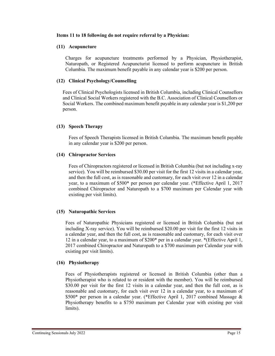#### **Items 11 to 18 following do not require referral by a Physician:**

#### **(11) Acupuncture**

Charges for acupuncture treatments performed by a Physician, Physiotherapist, Naturopath, or Registered Acupuncturist licensed to perform acupuncture in British Columbia. The maximum benefit payable in any calendar year is \$200 per person.

#### **(12) Clinical Psychology/Counselling**

Fees of Clinical Psychologists licensed in British Columbia, including Clinical Counsellors and Clinical Social Workers registered with the B.C. Association of Clinical Counsellors or Social Workers. The combined maximum benefit payable in any calendar year is \$1,200 per person.

#### **(13) Speech Therapy**

Fees of Speech Therapists licensed in British Columbia. The maximum benefit payable in any calendar year is \$200 per person.

#### **(14) Chiropractor Services**

Fees of Chiropractors registered or licensed in British Columbia (but not including x-ray service). You will be reimbursed \$30.00 per visit for the first 12 visits in a calendar year, and then the full cost, as is reasonable and customary, for each visit over 12 in a calendar year, to a maximum of \$500\* per person per calendar year. (\*Effective April 1, 2017 combined Chiropractor and Naturopath to a \$700 maximum per Calendar year with existing per visit limits).

#### **(15) Naturopathic Services**

Fees of Naturopathic Physicians registered or licensed in British Columbia (but not including X-ray service). You will be reimbursed \$20.00 per visit for the first 12 visits in a calendar year, and then the full cost, as is reasonable and customary, for each visit over 12 in a calendar year, to a maximum of \$200\* per in a calendar year. \*(Effective April 1, 2017 combined Chiropractor and Naturopath to a \$700 maximum per Calendar year with existing per visit limits).

#### **(16) Physiotherapy**

Fees of Physiotherapists registered or licensed in British Columbia (other than a Physiotherapist who is related to or resident with the member). You will be reimbursed \$30.00 per visit for the first 12 visits in a calendar year, and then the full cost, as is reasonable and customary, for each visit over 12 in a calendar year, to a maximum of \$500\* per person in a calendar year. (\*Effective April 1, 2017 combined Massage & Physiotherapy benefits to a \$750 maximum per Calendar year with existing per visit limits).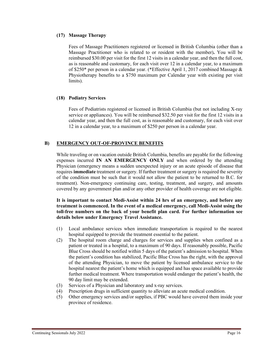#### **(17) Massage Therapy**

Fees of Massage Practitioners registered or licensed in British Columbia (other than a Massage Practitioner who is related to or resident with the member)**.** You will be reimbursed \$30.00 per visit for the first 12 visits in a calendar year, and then the full cost, as is reasonable and customary, for each visit over 12 in a calendar year, to a maximum of \$250\* per person in a calendar year. (\*Effective April 1, 2017 combined Massage & Physiotherapy benefits to a \$750 maximum per Calendar year with existing per visit limits).

#### **(18) Podiatry Services**

Fees of Podiatrists registered or licensed in British Columbia (but not including X-ray service or appliances). You will be reimbursed \$32.50 per visit for the first 12 visits in a calendar year, and then the full cost, as is reasonable and customary, for each visit over 12 in a calendar year, to a maximum of \$250 per person in a calendar year.

# **B) EMERGENCY OUT-OF-PROVINCE BENEFITS**

While traveling or on vacation outside British Columbia, benefits are payable for the following expenses incurred **IN AN EMERGENCY ONLY** and when ordered by the attending Physician (emergency means a sudden unexpected injury or an acute episode of disease that requires **immediate** treatment or surgery. If further treatment or surgery is required the severity of the condition must be such that it would not allow the patient to be returned to B.C. for treatment). Non-emergency continuing care, testing, treatment, and surgery, and amounts covered by any government plan and/or any other provider of health coverage are not eligible.

**It is important to contact Medi-Assist within 24 hrs of an emergency, and before any treatment is commenced. In the event of a medical emergency, call Medi-Assist using the toll-free numbers on the back of your benefit plan card. For further information see details below under Emergency Travel Assistance.**

- (1) Local ambulance services when immediate transportation is required to the nearest hospital equipped to provide the treatment essential to the patient.
- (2) The hospital room charge and charges for services and supplies when confined as a patient or treated in a hospital, to a maximum of 90 days. If reasonably possible, Pacific Blue Cross should be notified within 5 days of the patient's admission to hospital. When the patient's condition has stabilized, Pacific Blue Cross has the right, with the approval of the attending Physician, to move the patient by licensed ambulance service to the hospital nearest the patient's home which is equipped and has space available to provide further medical treatment. Where transportation would endanger the patient's health, the 90 day limit may be extended.
- (3) Services of a Physician and laboratory and x-ray services.
- (4) Prescription drugs in sufficient quantity to alleviate an acute medical condition.
- (5) Other emergency services and/or supplies, if PBC would have covered them inside your province of residence.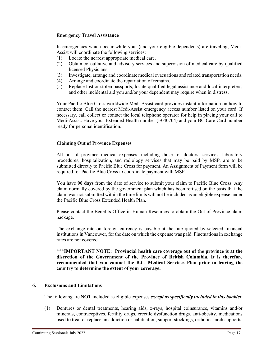#### **Emergency Travel Assistance**

In emergencies which occur while your (and your eligible dependents) are traveling, Medi-Assist will coordinate the following services:

- (1) Locate the nearest appropriate medical care.
- (2) Obtain consultative and advisory services and supervision of medical care by qualified licensed Physicians.
- (3) Investigate, arrange and coordinate medical evacuations and related transportation needs.
- (4) Arrange and coordinate the repatriation of remains.
- (5) Replace lost or stolen passports, locate qualified legal assistance and local interpreters, and other incidental aid you and/or your dependent may require when in distress.

Your Pacific Blue Cross worldwide Medi-Assist card provides instant information on how to contact them. Call the nearest Medi-Assist emergency access number listed on your card. If necessary, call collect or contact the local telephone operator for help in placing your call to Medi-Assist. Have your Extended Health number (E040704) and your BC Care Card number ready for personal identification.

# **Claiming Out of Province Expenses**

All out of province medical expenses, including those for doctors' services, laboratory procedures, hospitalization, and radiology services that may be paid by MSP, are to be submitted directly to Pacific Blue Cross for payment. An Assignment of Payment form will be required for Pacific Blue Cross to coordinate payment with MSP.

You have **90 days** from the date of service to submit your claim to Pacific Blue Cross. Any claim normally covered by the government plan which has been refused on the basis that the claim was not submitted within the time limits will not be included as an eligible expense under the Pacific Blue Cross Extended Health Plan.

Please contact the Benefits Office in Human Resources to obtain the Out of Province claim package.

The exchange rate on foreign currency is payable at the rate quoted by selected financial institutions in Vancouver, for the date on which the expense was paid. Fluctuations in exchange rates are not covered.

**\*\*\*IMPORTANT NOTE: Provincial health care coverage out of the province is at the discretion of the Government of the Province of British Columbia. It is therefore recommended that you contact the B.C. Medical Services Plan prior to leaving the country to determine the extent of your coverage.**

# **6. Exclusions and Limitations**

The following are **NOT** included as eligible expenses *except as specifically included in this booklet*:

(1) Dentures or dental treatments, hearing aids, x-rays, hospital coinsurance, vitamins and/or minerals, contraceptives, fertility drugs, erectile dysfunction drugs, anti-obesity, medications used to treat or replace an addiction or habituation, support stockings, orthotics, arch supports,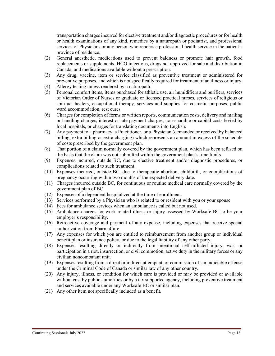transportation charges incurred for elective treatment and/or diagnostic procedures or for health or health examinations of any kind, remedies by a naturopath or podiatrist, and professional services of Physicians or any person who renders a professional health service in the patient's province of residence.

- (2) General anesthetic, medications used to prevent baldness or promote hair growth, food replacements or supplements, HCG injections, drugs not approved for sale and distribution in Canada, and medications available without a prescription.
- (3) Any drug, vaccine, item or service classified as preventive treatment or administered for preventive purposes, and which is not specifically required for treatment of an illness or injury.
- (4) Allergy testing unless rendered by a naturopath.
- (5) Personal comfort items, items purchased for athletic use, air humidifiers and purifiers, services of Victorian Order of Nurses or graduate or licensed practical nurses, services of religious or spiritual healers, occupational therapy, services and supplies for cosmetic purposes, public ward accommodation, rest cures.
- (6) Charges for completion of forms or written reports, communication costs, delivery and mailing or handling charges, interest or late payment charges, non-sharable or capital costs levied by local hospitals, or charges for translating documents into English.
- (7) Any payment to a pharmacy, a Practitioner, or a Physician (demanded or received by balanced billing, extra billing or extra charging) which represents an amount in excess of the schedule of costs prescribed by the government plan.
- (8) That portion of a claim normally covered by the government plan, which has been refused on the basis that the claim was not submitted within the government plan's time limits.
- (9) Expenses incurred, outside BC, due to elective treatment and/or diagnostic procedures, or complications related to such treatment.
- (10) Expenses incurred, outside BC, due to therapeutic abortion, childbirth, or complications of pregnancy occurring within two months of the expected delivery date.
- (11) Charges incurred outside BC, for continuous or routine medical care normally covered by the government plan of BC.
- (12) Expenses of a dependent hospitalized at the time of enrollment.
- (13) Services performed by a Physician who is related to or resident with you or your spouse.
- (14) Fees for ambulance services when an ambulance is called but not used.
- (15) Ambulance charges for work related illness or injury assessed by Worksafe BC to be your employer's responsibility.
- (16) Retroactive coverage and payment of any expense, including expenses that receive special authorization from PharmaCare.
- (17) Any expenses for which you are entitled to reimbursement from another group or individual benefit plan or insurance policy, or due to the legal liability of any other party.
- (18) Expenses resulting directly or indirectly from intentional self-inflicted injury, war, or participation in a riot, insurrection, or civil commotion, active duty in the military forces or any civilian noncombatant unit.
- (19) Expenses resulting from a direct or indirect attempt at, or commission of, an indictable offense under the Criminal Code of Canada or similar law of any other country.
- (20) Any injury, illness, or condition for which care is provided or may be provided or available without cost by public authorities or by a tax supported agency, including preventive treatment and services available under any Worksafe BC or similar plan.
- (21) Any other item not specifically included as a benefit.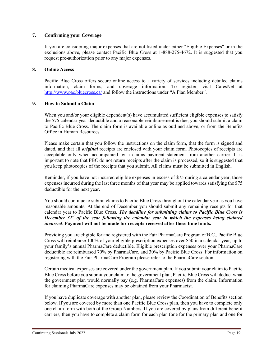### **7. Confirming your Coverage**

If you are considering major expenses that are not listed under either "Eligible Expenses" or in the exclusions above, please contact Pacific Blue Cross at 1-888-275-4672. It is suggested that you request pre-authorization prior to any major expenses.

#### **8. Online Access**

Pacific Blue Cross offers secure online access to a variety of services including detailed claims information, claim forms, and coverage information. To register, visit CaresNet at <http://www.pac.bluecross.ca/>and follow the instructions under "A Plan Member".

#### **9. How to Submit a Claim**

When you and/or your eligible dependent(s) have accumulated sufficient eligible expenses to satisfy the \$75 calendar year deductible and a reasonable reimbursement is due, you should submit a claim to Pacific Blue Cross. The claim form is available online as outlined above, or from the Benefits Office in Human Resources.

Please make certain that you follow the instructions on the claim form, that the form is signed and dated, and that all *original* receipts are enclosed with your claim form. Photocopies of receipts are acceptable only when accompanied by a claims payment statement from another carrier. It is important to note that PBC do not return receipts after the claim is processed, so it is suggested that you keep photocopies of the receipts that you submit. All claims must be submitted in English.

Reminder, if you have not incurred eligible expenses in excess of \$75 during a calendar year, those expenses incurred during the last three months of that year may be applied towards satisfying the \$75 deductible for the next year.

You should continue to submit claims to Pacific Blue Cross throughout the calendar year as you have reasonable amounts. At the end of December you should submit any remaining receipts for that calendar year to Pacific Blue Cross*. The deadline for submitting claims to Pacific Blue Cross is December 31st of the year following the calendar year in which the expenses being claimed incurred*. **Payment will not be made for receipts received after these time limits.**

Providing you are eligible for and registered with the Fair PharmaCare Program of B.C., Pacific Blue Cross will reimburse 100% of your eligible prescription expenses over \$50 in a calendar year, up to your family's annual PharmaCare deductible. Eligible prescription expenses over your PharmaCare deductible are reimbursed 70% by PharmaCare, and 30% by Pacific Blue Cross. For information on registering with the Fair PharmaCare Program please refer to the PharmaCare section.

Certain medical expenses are covered under the government plan. If you submit your claim to Pacific Blue Cross before you submit your claim to the government plan, Pacific Blue Cross will deduct what the government plan would normally pay (e.g. PharmaCare expenses) from the claim. Information for claiming PharmaCare expenses may be obtained from your Pharmacist.

If you have duplicate coverage with another plan, please review the Coordination of Benefits section below. If you are covered by more than one Pacific Blue Cross plan, then you have to complete only one claim form with both of the Group Numbers. If you are covered by plans from different benefit carriers, then you have to complete a claim form for each plan (one for the primary plan and one for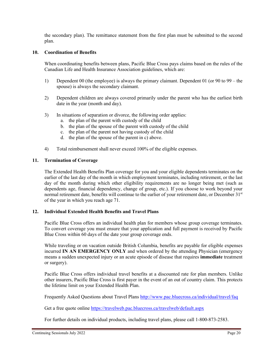the secondary plan). The remittance statement from the first plan must be submitted to the second plan.

### **10. Coordination of Benefits**

When coordinating benefits between plans, Pacific Blue Cross pays claims based on the rules of the Canadian Life and Health Insurance Association guidelines, which are:

- 1) Dependent 00 (the employee) is always the primary claimant. Dependent 01 (or 90 to 99 the spouse) is always the secondary claimant.
- 2) Dependent children are always covered primarily under the parent who has the earliest birth date in the year (month and day).
- 3) In situations of separation or divorce, the following order applies:
	- a. the plan of the parent with custody of the child
	- b. the plan of the spouse of the parent with custody of the child
	- c. the plan of the parent not having custody of the child
	- d. the plan of the spouse of the parent in c) above.
- 4) Total reimbursement shall never exceed 100% of the eligible expenses.

#### **11. Termination of Coverage**

The Extended Health Benefits Plan coverage for you and your eligible dependents terminates on the earlier of the last day of the month in which employment terminates, including retirement, or the last day of the month during which other eligibility requirements are no longer being met (such as dependents age, financial dependency, change of group, etc.). If you choose to work beyond your normal retirement date, benefits will continue to the earlier of your retirement date, or December 31<sup>st</sup> of the year in which you reach age 71.

#### **12. Individual Extended Health Benefits and Travel Plans**

Pacific Blue Cross offers an individual health plan for members whose group coverage terminates. To convert coverage you must ensure that your application and full payment is received by Pacific Blue Cross within 60 days of the date your group coverage ends.

While traveling or on vacation outside British Columbia, benefits are payable for eligible expenses incurred **IN AN EMERGENCY ONLY** and when ordered by the attending Physician (emergency means a sudden unexpected injury or an acute episode of disease that requires **immediate** treatment or surgery).

Pacific Blue Cross offers individual travel benefits at a discounted rate for plan members. Unlike other insurers, Pacific Blue Cross is first payer in the event of an out of country claim. This protects the lifetime limit on your Extended Health Plan.

Frequently Asked Questions about Travel Plans<http://www.pac.bluecross.ca/individual/travel/faq>

Get a free quote online<https://travelweb.pac.bluecross.ca/travelweb/default.aspx>

For further details on individual products, including travel plans, please call 1-800-873-2583.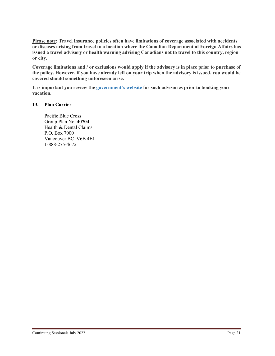**Please note: Travel insurance policies often have limitations of coverage associated with accidents or diseases arising from travel to a location where the Canadian Department of Foreign Affairs has issued a travel advisory or health warning advising Canadians not to travel to this country, region or city.**

**Coverage limitations and / or exclusions would apply if the advisory is in place prior to purchase of the policy. However, if you have already left on your trip when the advisory is issued, you would be covered should something unforeseen arise.**

**It is important you review the [government's website](http://www.voyage.gc.ca/index-eng.asp) for such advisories prior to booking your vacation.** 

#### **13. Plan Carrier**

Pacific Blue Cross Group Plan No. **40704** Health & Dental Claims P.O. Box 7000 Vancouver BC V6B 4E1 1-888-275-4672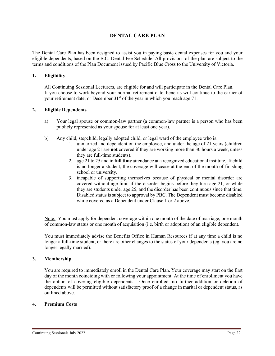# **DENTAL CARE PLAN**

The Dental Care Plan has been designed to assist you in paying basic dental expenses for you and your eligible dependents, based on the B.C. Dental Fee Schedule. All provisions of the plan are subject to the terms and conditions of the Plan Document issued by Pacific Blue Cross to the University of Victoria.

#### **1. Eligibility**

All Continuing Sessional Lecturers, are eligible for and will participate in the Dental Care Plan. If you choose to work beyond your normal retirement date, benefits will continue to the earlier of your retirement date, or December 31<sup>st</sup> of the year in which you reach age 71.

#### **2. Eligible Dependents**

- a) Your legal spouse or common-law partner (a common-law partner is a person who has been publicly represented as your spouse for at least one year).
- b) Any child, stepchild, legally adopted child, or legal ward of the employee who is:
	- 1. unmarried and dependent on the employee, and under the age of 21 years (children under age 21 are **not** covered if they are working more than 30 hours a week, unless they are full-time students).
	- 2. age 21 to 25 and in **full time** attendance at a recognized educational institute. If child is no longer a student, the coverage will cease at the end of the month of finishing school or university.
	- 3. incapable of supporting themselves because of physical or mental disorder are covered without age limit if the disorder begins before they turn age 21, or while they are students under age 25, and the disorder has been continuous since that time. Disabled status is subject to approval by PBC. The Dependent must become disabled while covered as a Dependent under Clause 1 or 2 above.

Note: You must apply for dependent coverage within one month of the date of marriage, one month of common-law status or one month of acquisition (i.e. birth or adoption) of an eligible dependent.

You must immediately advise the Benefits Office in Human Resources if at any time a child is no longer a full-time student, or there are other changes to the status of your dependents (eg. you are no longer legally married).

#### **3. Membership**

You are required to immediately enroll in the Dental Care Plan. Your coverage may start on the first day of the month coinciding with or following your appointment. At the time of enrollment you have the option of covering eligible dependents. Once enrolled, no further addition or deletion of dependents will be permitted without satisfactory proof of a change in marital or dependent status, as outlined above.

#### **4. Premium Costs**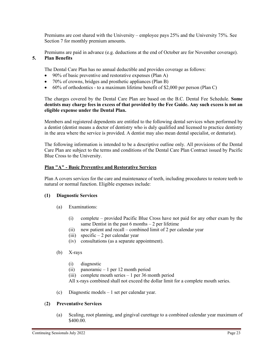Premiums are cost shared with the University – employee pays 25% and the University 75%. See Section 7 for monthly premium amounts.

Premiums are paid in advance (e.g. deductions at the end of October are for November coverage).

### **5. Plan Benefits**

The Dental Care Plan has no annual deductible and provides coverage as follows:

- 90% of basic preventive and restorative expenses (Plan A)
- 70% of crowns, bridges and prosthetic appliances (Plan B)
- 60% of orthodontics to a maximum lifetime benefit of \$2,000 per person (Plan C)

The charges covered by the Dental Care Plan are based on the B.C. Dental Fee Schedule. **Some dentists may charge fees in excess of that provided by the Fee Guide. Any such excess is not an eligible expense under the Dental Plan.**

Members and registered dependents are entitled to the following dental services when performed by a dentist (dentist means a doctor of dentistry who is duly qualified and licensed to practice dentistry in the area where the service is provided. A dentist may also mean dental specialist, or denturist).

The following information is intended to be a descriptive outline only. All provisions of the Dental Care Plan are subject to the terms and conditions of the Dental Care Plan Contract issued by Pacific Blue Cross to the University.

#### **Plan "A" - Basic Preventive and Restorative Services**

Plan A covers services for the care and maintenance of teeth, including procedures to restore teeth to natural or normal function. Eligible expenses include:

#### **(1) Diagnostic Services**

- (a) Examinations:
	- (i) complete provided Pacific Blue Cross have not paid for any other exam by the same Dentist in the past  $6$  months  $-2$  per lifetime
	- (ii) new patient and recall combined limit of 2 per calendar year
	- (iii) specific  $-2$  per calendar year
	- (iv) consultations (as a separate appointment).
- (b) X-rays
	- (i) diagnostic
	- (ii) panoramic 1 per 12 month period
	- (iii) complete mouth series  $-1$  per 36 month period
	- All x-rays combined shall not exceed the dollar limit for a complete mouth series.
- (c) Diagnostic models 1 set per calendar year.

#### (**2) Preventative Services**

(a) Scaling, root planning, and gingival curettage to a combined calendar year maximum of \$400.00.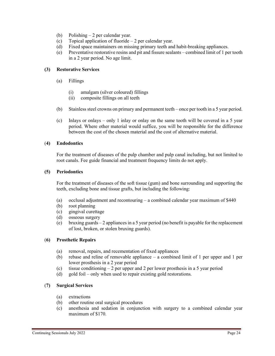- (b) Polishing 2 per calendar year.
- (c) Topical application of fluoride 2 per calendar year.
- (d) Fixed space maintainers on missing primary teeth and habit-breaking appliances.
- (e) Preventative restorative resins and pit and fissure sealants combined limit of 1 per tooth in a 2 year period. No age limit.

#### **(3) Restorative Services**

- (a) Fillings
	- (i) amalgam (silver coloured) fillings
	- (ii) composite fillings on all teeth
- (b) Stainless steel crowns on primary and permanent teeth once per tooth in a 5 year period.
- (c) Inlays or onlays only 1 inlay or onlay on the same tooth will be covered in a 5 year period. Where other material would suffice, you will be responsible for the difference between the cost of the chosen material and the cost of alternative material.

#### (**4) Endodontics**

For the treatment of diseases of the pulp chamber and pulp canal including, but not limited to root canals. Fee guide financial and treatment frequency limits do not apply.

#### **(5) Periodontics**

For the treatment of diseases of the soft tissue (gum) and bone surrounding and supporting the teeth, excluding bone and tissue grafts, but including the following:

- (a) occlusal adjustment and recontouring a combined calendar year maximum of \$440
- (b) root planning
- (c) gingival curettage
- (d) osseous surgery
- (e) bruxing guards  $-2$  appliances in a 5 year period (no benefit is payable for the replacement of lost, broken, or stolen bruxing guards).

# (**6) Prosthetic Repairs**

- (a) removal, repairs, and recementation of fixed appliances
- (b) rebase and reline of removable appliance a combined limit of 1 per upper and 1 per lower prosthesis in a 2 year period
- (c) tissue conditioning 2 per upper and 2 per lower prosthesis in a 5 year period
- (d) gold foil only when used to repair existing gold restorations.

# (**7) Surgical Services**

- (a) extractions
- (b) other routine oral surgical procedures
- (c) anesthesia and sedation in conjunction with surgery to a combined calendar year maximum of \$170.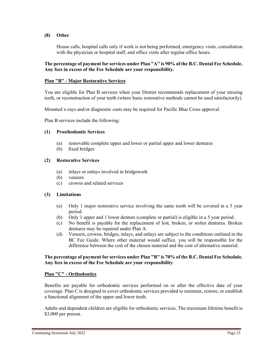#### **(8) Other**

House calls, hospital calls only if work is not being performed, emergency visits, consultation with the physician or hospital staff, and office visits after regular office hours.

#### **The percentage of payment for services under Plan "A" is 90% of the B.C. Dental Fee Schedule. Any fees in excess of the Fee Schedule are your responsibility.**

#### **Plan "B" - Major Restorative Services**

You are eligible for Plan B services when your Dentist recommends replacement of your missing teeth, or reconstruction of your teeth (where basic restorative methods cannot be used satisfactorily).

Mounted x-rays and/or diagnostic casts may be required for Pacific Blue Cross approval.

Plan B services include the following:

#### **(1) Prosthodontic Services**

- (a) removable complete upper and lower or partial upper and lower dentures
- (b) fixed bridges

#### **(2) Restorative Services**

- (a) inlays or onlays involved in bridgework
- (b) veneers
- (c) crowns and related services

#### **(3) Limitations**

- (a) Only 1 major restorative service involving the same tooth will be covered in a 5 year period.
- (b) Only 1 upper and 1 lower denture (complete or partial) is eligible in a 5 year period.
- (c) No benefit is payable for the replacement of lost, broken, or stolen dentures. Broken dentures may be repaired under Plan A.
- (d) Veneers, crowns, bridges, inlays, and onlays are subject to the conditions outlined in the BC Fee Guide. Where other material would suffice, you will be responsible for the difference between the cost of the chosen material and the cost of alternative material.

#### **The percentage of payment for services under Plan "B" is 70% of the B.C. Dental Fee Schedule. Any fees in excess of the Fee Schedule are your responsibility**.

#### **Plan "C" - Orthodontics**

Benefits are payable for orthodontic services performed on or after the effective date of your coverage. Plan C is designed to cover orthodontic services provided to maintain, restore, or establish a functional alignment of the upper and lower teeth.

Adults and dependent children are eligible for orthodontic services. The maximum lifetime benefit is \$3,000 per person.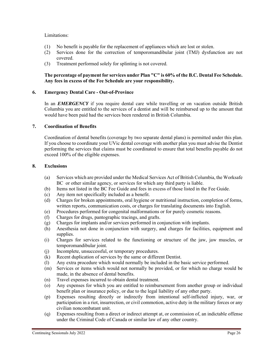#### Limitations:

- (1) No benefit is payable for the replacement of appliances which are lost or stolen.
- (2) Services done for the correction of temporomandibular joint (TMJ) dysfunction are not covered.
- (3) Treatment performed solely for splinting is not covered.

#### **The percentage of payment for services under Plan "C" is 60% of the B.C. Dental Fee Schedule. Any fees in excess of the Fee Schedule are your responsibility.**

#### **6. Emergency Dental Care - Out-of-Province**

In an **EMERGENCY** if you require dental care while travelling or on vacation outside British Columbia you are entitled to the services of a dentist and will be reimbursed up to the amount that would have been paid had the services been rendered in British Columbia.

#### **7. Coordination of Benefits**

Coordination of dental benefits (coverage by two separate dental plans) is permitted under this plan. If you choose to coordinate your UVic dental coverage with another plan you must advise the Dentist performing the services that claims must be coordinated to ensure that total benefits payable do not exceed 100% of the eligible expenses.

#### **8. Exclusions**

- (a) Services which are provided under the Medical Services Act of British Columbia, the Worksafe BC or other similar agency, or services for which any third party is liable.
- (b) Items not listed in the BC Fee Guide and fees in excess of those listed in the Fee Guide.
- (c) Any item not specifically included as a benefit.
- (d) Charges for broken appointments, oral hygiene or nutritional instruction, completion of forms, written reports, communication costs, or charges for translating documents into English.
- (e) Procedures performed for congenital malformations or for purely cosmetic reasons.
- (f) Charges for drugs, pantographic tracings, and grafts.
- (g) Charges for implants and/or services performed in conjunction with implants.
- (h) Anesthesia not done in conjunction with surgery, and charges for facilities, equipment and supplies.
- (i) Charges for services related to the functioning or structure of the jaw, jaw muscles, or temporomandibular joint.
- (j) Incomplete, unsuccessful, or temporary procedures.
- (k) Recent duplication of services by the same or different Dentist.
- (l) Any extra procedure which would normally be included in the basic service performed.
- (m) Services or items which would not normally be provided, or for which no charge would be made, in the absence of dental benefits.
- (n) Travel expenses incurred to obtain dental treatment.
- (o) Any expenses for which you are entitled to reimbursement from another group or individual benefit plan or insurance policy, or due to the legal liability of any other party.
- (p) Expenses resulting directly or indirectly from intentional self-inflicted injury, war, or participation in a riot, insurrection, or civil commotion, active duty in the military forces or any civilian noncombatant unit.
- (q) Expenses resulting from a direct or indirect attempt at, or commission of, an indictable offense under the Criminal Code of Canada or similar law of any other country.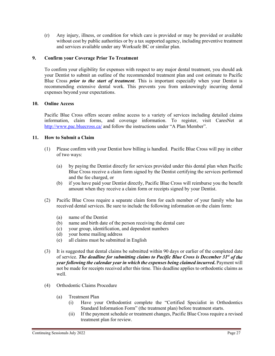(r) Any injury, illness, or condition for which care is provided or may be provided or available without cost by public authorities or by a tax supported agency, including preventive treatment and services available under any Worksafe BC or similar plan.

#### **9. Confirm your Coverage Prior To Treatment**

To confirm your eligibility for expenses with respect to any major dental treatment, you should ask your Dentist to submit an outline of the recommended treatment plan and cost estimate to Pacific Blue Cross *prior to the start of treatment*. This is important especially when your Dentist is recommending extensive dental work. This prevents you from unknowingly incurring dental expenses beyond your expectations.

#### **10. Online Access**

Pacific Blue Cross offers secure online access to a variety of services including detailed claims information, claim forms, and coverage information. To register, visit CaresNet at <http://www.pac.bluecross.ca/>and follow the instructions under "A Plan Member".

#### **11. How to Submit a Claim**

- (1) Please confirm with your Dentist how billing is handled. Pacific Blue Cross will pay in either of two ways:
	- (a) by paying the Dentist directly for services provided under this dental plan when Pacific Blue Cross receive a claim form signed by the Dentist certifying the services performed and the fee charged, or
	- (b) if you have paid your Dentist directly, Pacific Blue Cross will reimburse you the benefit amount when they receive a claim form or receipts signed by your Dentist.
- (2) Pacific Blue Cross require a separate claim form for each member of your family who has received dental services. Be sure to include the following information on the claim form:
	- (a) name of the Dentist
	- (b) name and birth date of the person receiving the dental care
	- (c) your group, identification, and dependent numbers
	- (d) your home mailing address
	- (e) all claims must be submitted in English
- (3) It is suggested that dental claims be submitted within 90 days or earlier of the completed date of service. *The deadline for submitting claims to Pacific Blue Cross is December 31st of the year following the calendar year in which the expenses being claimed incurred***.** Payment will not be made for receipts received after this time. This deadline applies to orthodontic claims as well.
- (4) Orthodontic Claims Procedure
	- (a) Treatment Plan
		- (i) Have your Orthodontist complete the "Certified Specialist in Orthodontics Standard Information Form" (the treatment plan) before treatment starts.
		- (ii) If the payment schedule or treatment changes, Pacific Blue Cross require a revised treatment plan for review.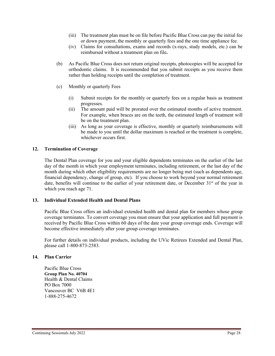- (iii) The treatment plan must be on file before Pacific Blue Cross can pay the initial fee or down payment, the monthly or quarterly fees and the one time appliance fee.
- (iv) Claims for consultations, exams and records (x-rays, study models, etc.) can be reimbursed without a treatment plan on file**.**
- (b) As Pacific Blue Cross does not return original receipts, photocopies will be accepted for orthodontic claims. It is recommended that you submit receipts as you receive them rather than holding receipts until the completion of treatment.
- (c) Monthly or quarterly Fees
	- (i) Submit receipts for the monthly or quarterly fees on a regular basis as treatment progresses.
	- (ii) The amount paid will be prorated over the estimated months of active treatment. For example, when braces are on the teeth, the estimated length of treatment will be on the treatment plan.
	- (iii) As long as your coverage is effective, monthly or quarterly reimbursements will be made to you until the dollar maximum is reached or the treatment is complete, whichever occurs first.

#### **12. Termination of Coverage**

The Dental Plan coverage for you and your eligible dependents terminates on the earlier of the last day of the month in which your employment terminates, including retirement, or the last day of the month during which other eligibility requirements are no longer being met (such as dependents age, financial dependency, change of group, etc). If you choose to work beyond your normal retirement date, benefits will continue to the earlier of your retirement date, or December 31<sup>st</sup> of the year in which you reach age 71.

#### **13. Individual Extended Health and Dental Plans**

Pacific Blue Cross offers an individual extended health and dental plan for members whose group coverage terminates. To convert coverage you must ensure that your application and full payment is received by Pacific Blue Cross within 60 days of the date your group coverage ends. Coverage will become effective immediately after your group coverage terminates.

For further details on individual products, including the UVic Retirees Extended and Dental Plan, please call 1-800-873-2583.

#### **14. Plan Carrier**

Pacific Blue Cross **Group Plan No. 40704** Health & Dental Claims PO Box 7000 Vancouver BC V6B 4E1 1-888-275-4672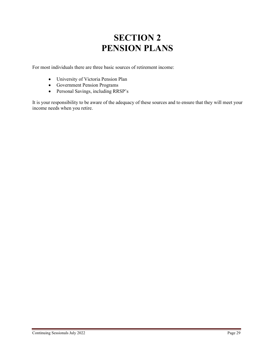# **SECTION 2 PENSION PLANS**

For most individuals there are three basic sources of retirement income:

- University of Victoria Pension Plan
- Government Pension Programs
- Personal Savings, including RRSP's

It is your responsibility to be aware of the adequacy of these sources and to ensure that they will meet your income needs when you retire.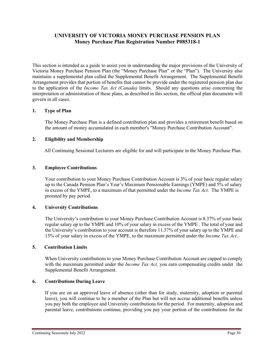# **UNIVERSITY OF VICTORIA MONEY PURCHASE PENSION PLAN Money Purchase Plan Registration Number P085318-1**

This section is intended as a guide to assist you in understanding the major provisions of the University of Victoria Money Purchase Pension Plan (the "Money Purchase Plan" or the "Plan"). The University also maintains a supplemental plan called the Supplemental Benefit Arrangement. The Supplemental Benefit Arrangement provides that portion of benefits that cannot be provide under the registered pension plan due to the application of the *Income Tax Act (Canada)* limits. Should any questions arise concerning the interpretation or administration of these plans, as described in this section, the official plan documents will govern in all cases.

#### **1. Type of Plan**

The Money Purchase Plan is a defined contribution plan and provides a retirement benefit based on the amount of money accumulated in each member's "Money Purchase Contribution Account".

#### **2. Eligibility and Membership**

All Continuing Sessional Lecturers are eligible for and will participate in the Money Purchase Plan.

#### **3. Employee Contributions**

Your contribution to your Money Purchase Contribution Account is 3% of your basic regular salary up to the Canada Pension Plan's Year's Maximum Pensionable Earnings (YMPE) and 5% of salary in excess of the YMPE, to a maximum of that permitted under the *Income Tax Act*. The YMPE is prorated by pay period.

#### **4. University Contributions**

The University's contribution to your Money Purchase Contribution Account is 8.37% of your basic regular salary up to the YMPE and 10% of your salary in excess of the YMPE . The total of your and the University's contribution to your account is therefore 11.37% of your salary up to the YMPE and 15% of your salary in excess of the YMPE, to the maximum permitted under the *Income Tax Act*.*.*

#### **5. Contribution Limits**

When University contributions to your Money Purchase Contribution Account are capped to comply with the maximum permitted under the *Income Tax Act,* you earn compensating credits under the Supplemental Benefit Arrangement.

#### **6. Contributions During Leave**

If you are on an approved leave of absence (other than for study, maternity, adoption or parental leave), you will continue to be a member of the Plan but will not accrue additional benefits unless you pay both the employee and University contributions for the period. For maternity, adoption and parental leave, contributions continue, providing you pay your portion of the contributions for the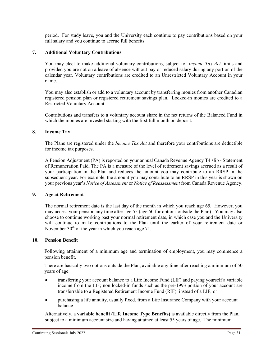period. For study leave, you and the University each continue to pay contributions based on your full salary and you continue to accrue full benefits.

### **7. Additional Voluntary Contributions**

You may elect to make additional voluntary contributions, subject to *Income Tax Act* limits and provided you are not on a leave of absence without pay or reduced salary during any portion of the calendar year. Voluntary contributions are credited to an Unrestricted Voluntary Account in your name.

You may also establish or add to a voluntary account by transferring monies from another Canadian registered pension plan or registered retirement savings plan. Locked-in monies are credited to a Restricted Voluntary Account.

Contributions and transfers to a voluntary account share in the net returns of the Balanced Fund in which the monies are invested starting with the first full month on deposit.

#### **8. Income Tax**

The Plans are registered under the *Income Tax Act* and therefore your contributions are deductible for income tax purposes.

A Pension Adjustment (PA) is reported on your annual Canada Revenue Agency T4 slip - Statement of Remuneration Paid. The PA is a measure of the level of retirement savings accrued as a result of your participation in the Plan and reduces the amount you may contribute to an RRSP in the subsequent year. For example, the amount you may contribute to an RRSP in this year is shown on your previous year's *Notice of Assessment* or *Notice of Reassessment* from Canada Revenue Agency.

#### **9. Age at Retirement**

The normal retirement date is the last day of the month in which you reach age 65. However, you may access your pension any time after age 55 (age 50 for options outside the Plan). You may also choose to continue working past your normal retirement date, in which case you and the University will continue to make contributions to the Plan until the earlier of your retirement date or November  $30<sup>th</sup>$  of the year in which you reach age 71.

#### **10. Pension Benefit**

Following attainment of a minimum age and termination of employment, you may commence a pension benefit.

There are basically two options outside the Plan, available any time after reaching a minimum of 50 years of age:

- transferring your account balance to a Life Income Fund (LIF) and paying yourself a variable income from the LIF; non locked-in funds such as the pre-1993 portion of your account are transferrable to a Registered Retirement Income Fund (RIF), instead of a LIF; or
- purchasing a life annuity, usually fixed, from a Life Insurance Company with your account balance.

Alternatively, a **variable benefit (Life Income Type Benefits)** is available directly from the Plan, subject to a minimum account size and having attained at least 55 years of age. The minimum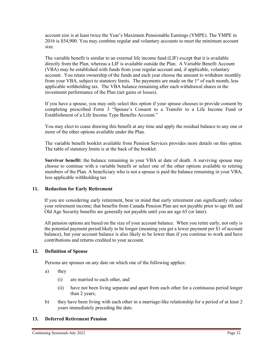account size is at least twice the Year's Maximum Pensionable Earnings (YMPE). The YMPE in 2016 is \$54,900. You may combine regular and voluntary accounts to meet the minimum account size.

The variable benefit is similar to an external life income fund (LIF) except that it is available directly from the Plan, whereas a LIF is available outside the Plan. A Variable Benefit Account (VBA) may be established with funds from your regular account and, if applicable, voluntary account. You retain ownership of the funds and each year choose the amount to withdraw monthly from your VBA, subject to statutory limits. The payments are made on the 1<sup>st</sup> of each month, less applicable withholding tax. The VBA balance remaining after each withdrawal shares in the investment performance of the Plan (net gains or losses).

If you have a spouse, you may only select this option if your spouse chooses to provide consent by completing prescribed Form 3 "Spouse's Consent to a Transfer to a Life Income Fund or Establishment of a Life Income Type Benefits Account."

You may elect to cease drawing this benefit at any time and apply the residual balance to any one or more of the other options available under the Plan.

The variable benefit booklet available from Pension Services provides more details on this option. The table of statutory limits is at the back of the booklet.

**Survivor benefit:** the balance remaining in your VBA at date of death. A surviving spouse may choose to continue with a variable benefit or select one of the other options available to retiring members of the Plan. A beneficiary who is not a spouse is paid the balance remaining in your VBA, less applicable withholding tax

#### **11. Reduction for Early Retirement**

If you are considering early retirement, bear in mind that early retirement can significantly reduce your retirement income; that benefits from Canada Pension Plan are not payable prior to age 60; and Old Age Security benefits are generally not payable until you are age 65 (or later).

All pension options are based on the size of your account balance. When you retire early, not only is the potential payment period likely to be longer (meaning you get a lower payment per \$1 of account balance), but your account balance is also likely to be lower than if you continue to work and have contributions and returns credited to your account.

#### **12. Definition of Spouse**

Persons are spouses on any date on which one of the following applies:

- a) they
	- (i) are married to each other, and
	- (ii) have not been living separate and apart from each other for a continuous period longer than 2 years;
- b) they have been living with each other in a marriage-like relationship for a period of at least 2 years immediately preceding the date.

#### **13. Deferred Retirement Pension**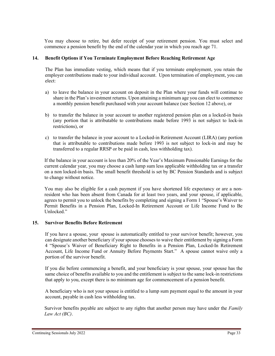You may choose to retire, but defer receipt of your retirement pension. You must select and commence a pension benefit by the end of the calendar year in which you reach age 71.

#### **14. Benefit Options if You Terminate Employment Before Reaching Retirement Age**

The Plan has immediate vesting, which means that if you terminate employment, you retain the employer contributions made to your individual account. Upon termination of employment, you can elect:

- a) to leave the balance in your account on deposit in the Plan where your funds will continue to share in the Plan's investment returns. Upon attaining a minimum age you can elect to commence a monthly pension benefit purchased with your account balance (see Section 12 above), or
- b) to transfer the balance in your account to another registered pension plan on a locked-in basis (any portion that is attributable to contributions made before 1993 is not subject to lock-in restrictions), or
- c) to transfer the balance in your account to a Locked-in Retirement Account (LIRA) (any portion that is attributable to contributions made before 1993 is not subject to lock-in and may be transferred to a regular RRSP or be paid in cash, less withholding tax).

If the balance in your account is less than 20% of the Year's Maximum Pensionable Earnings for the current calendar year, you may choose a cash lump sum less applicable withholding tax or a transfer on a non locked-in basis. The small benefit threshold is set by BC Pension Standards and is subject to change without notice.

You may also be eligible for a cash payment if you have shortened life expectancy or are a nonresident who has been absent from Canada for at least two years, and your spouse, if applicable, agrees to permit you to unlock the benefits by completing and signing a Form 1 "Spouse's Waiver to Permit Benefits in a Pension Plan, Locked-In Retirement Account or Life Income Fund to Be Unlocked."

#### **15. Survivor Benefits Before Retirement**

If you have a spouse, your spouse is automatically entitled to your survivor benefit; however, you can designate another beneficiary if your spouse chooses to waive their entitlement by signing a Form 4 "Spouse's Waiver of Beneficiary Right to Benefits in a Pension Plan, Locked-In Retirement Account, Life Income Fund or Annuity Before Payments Start." A spouse cannot waive only a portion of the survivor benefit.

If you die before commencing a benefit, and your beneficiary is your spouse, your spouse has the same choice of benefits available to you and the entitlement is subject to the same lock-in restrictions that apply to you, except there is no minimum age for commencement of a pension benefit.

A beneficiary who is not your spouse is entitled to a lump sum payment equal to the amount in your account, payable in cash less withholding tax.

Survivor benefits payable are subject to any rights that another person may have under the *Family Law Act (BC)*.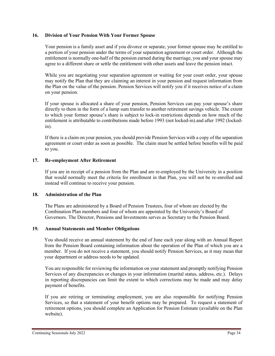#### **16. Division of Your Pension With Your Former Spouse**

Your pension is a family asset and if you divorce or separate, your former spouse may be entitled to a portion of your pension under the terms of your separation agreement or court order. Although the entitlement is normally one-half of the pension earned during the marriage, you and your spouse may agree to a different share or settle the entitlement with other assets and leave the pension intact.

While you are negotiating your separation agreement or waiting for your court order, your spouse may notify the Plan that they are claiming an interest in your pension and request information from the Plan on the value of the pension. Pension Services will notify you if it receives notice of a claim on your pension.

If your spouse is allocated a share of your pension, Pension Services can pay your spouse's share directly to them in the form of a lump sum transfer to another retirement savings vehicle. The extent to which your former spouse's share is subject to lock-in restrictions depends on how much of the entitlement is attributable to contributions made before 1993 (not locked-in).and after 1992 (lockedin).

If there is a claim on your pension, you should provide Pension Services with a copy of the separation agreement or court order as soon as possible. The claim must be settled before benefits will be paid to you.

#### **17. Re-employment After Retirement**

If you are in receipt of a pension from the Plan and are re-employed by the University in a position that would normally meet the criteria for enrollment in that Plan, you will not be re-enrolled and instead will continue to receive your pension.

#### **18. Administration of the Plan**

The Plans are administered by a Board of Pension Trustees, four of whom are elected by the Combination Plan members and four of whom are appointed by the University's Board of Governors. The Director, Pensions and Investments serves as Secretary to the Pension Board.

#### **19. Annual Statements and Member Obligations**

You should receive an annual statement by the end of June each year along with an Annual Report from the Pension Board containing information about the operation of the Plan of which you are a member. If you do not receive a statement, you should notify Pension Services, as it may mean that your department or address needs to be updated.

You are responsible for reviewing the information on your statement and promptly notifying Pension Services of any discrepancies or changes in your information (marital status, address, etc.). Delays in reporting discrepancies can limit the extent to which corrections may be made and may delay payment of benefits.

If you are retiring or terminating employment, you are also responsible for notifying Pension Services, so that a statement of your benefit options may be prepared. To request a statement of retirement options, you should complete an Application for Pension Estimate (available on the Plan website).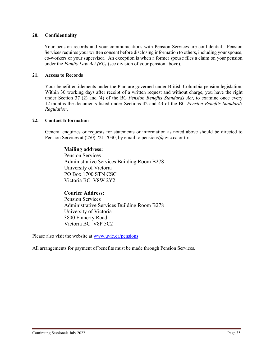#### **20. Confidentiality**

Your pension records and your communications with Pension Services are confidential. Pension Services requires your written consent before disclosing information to others, including your spouse, co-workers or your supervisor. An exception is when a former spouse files a claim on your pension under the *Family Law Act (BC)* (see division of your pension above).

#### **21. Access to Records**

Your benefit entitlements under the Plan are governed under British Columbia pension legislation. Within 30 working days after receipt of a written request and without charge, you have the right under Section 37 (2) and (4) of the BC *Pension Benefits Standards Act*, to examine once every 12 months the documents listed under Sections 42 and 43 of the BC *Pension Benefits Standards Regulation*.

#### **22. Contact Information**

General enquiries or requests for statements or information as noted above should be directed to Pension Services at (250) 721-7030, by email to [pensions@uvic.ca](mailto:pensions@uvic.ca) or to:

# **Mailing address:**

Pension Services Administrative Services Building Room B278 University of Victoria PO Box 1700 STN CSC Victoria BC V8W 2Y2

# **Courier Address:**

Pension Services Administrative Services Building Room B278 University of Victoria 3800 Finnerty Road Victoria BC V8P 5C2

Please also visit the website at [www.uvic.ca/pensions](http://www.uvic.ca/pensions)

All arrangements for payment of benefits must be made through Pension Services.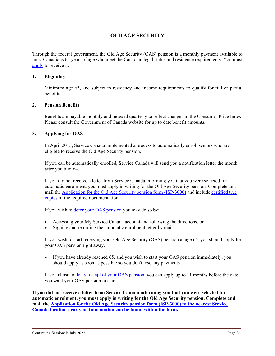# **OLD AGE SECURITY**

Through the federal government, the Old Age Security (OAS) pension is a monthly payment available to most Canadians 65 years of age who meet the Canadian legal status and residence requirements. You must [apply](http://www.esdc.gc.ca/en/cpp/oas/apply.page) to receive it.

#### **1. Eligibility**

Minimum age 65, and subject to residency and income requirements to qualify for full or partial benefits.

#### **2. Pension Benefits**

Benefits are payable monthly and indexed quarterly to reflect changes in the Consumer Price Index. Please consult the Government of Canada website for up to date benefit amounts.

#### **3. Applying for OAS**

In April 2013, Service Canada implemented a process to automatically enroll seniors who are eligible to receive the Old Age Security pension.

If you can be automatically enrolled, Service Canada will send you a notification letter the month after you turn 64.

If you did not receive a letter from Service Canada informing you that you were selected for automatic enrolment, you must apply in writing for the Old Age Security pension. Complete and mail the [Application for the Old Age Security pension form \(ISP-3000\)](http://www.servicecanada.gc.ca/cgi-bin/search/eforms/index.cgi?app=profile&form=isp3000) and include [certified true](http://www.servicecanada.gc.ca/cgi-bin/search/eforms/index.cgi?app=prfl&frm=isp1730b&ln=eng)  [copies](http://www.servicecanada.gc.ca/cgi-bin/search/eforms/index.cgi?app=prfl&frm=isp1730b&ln=eng) of the required documentation.

If you wish to **defer your OAS** pension you may do so by:

- Accessing your My Service Canada account and following the directions, or
- Signing and returning the automatic enrolment letter by mail.

If you wish to start receiving your Old Age Security (OAS) pension at age 65, you should apply for your OAS pension right away.

• If you have already reached 65, and you wish to start your OAS pension immediately, you should apply as soon as possible so you don't lose any payments .

If you chose to [delay receipt of your OAS pension,](http://www.esdc.gc.ca/en/cpp/oas/eligibility.page#h2.2) you can apply up to 11 months before the date you want your OAS pension to start.

**If you did not receive a letter from Service Canada informing you that you were selected for automatic enrolment, you must apply in writing for the Old Age Security pension. Complete and mail the [Application for the Old Age Security pension form \(ISP-3000\) to the nearest Service](http://www.servicecanada.gc.ca/cgi-bin/search/eforms/index.cgi?app=profile&form=isp3000)  [Canada location near you, information can be found within the form.](http://www.servicecanada.gc.ca/cgi-bin/search/eforms/index.cgi?app=profile&form=isp3000)**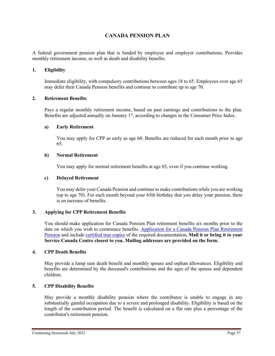# **CANADA PENSION PLAN**

A federal government pension plan that is funded by employee and employer contributions. Provides monthly retirement income, as well as death and disability benefits.

#### **1. Eligibility**

Immediate eligibility, with compulsory contributions between ages 18 to 65. Employees over age 65 may defer their Canada Pension benefits and continue to contribute up to age 70.

#### **2. Retirement Benefits**

Pays a regular monthly retirement income, based on past earnings and contributions to the plan. Benefits are adjusted annually on January  $1<sup>st</sup>$ , according to changes in the Consumer Price Index.

#### **a) Early Retirement**

You may apply for CPP as early as age 60. Benefits are reduced for each month prior to age 65.

#### **b) Normal Retirement**

You may apply for normal retirement benefits at age 65, even if you continue working.

#### **c) Delayed Retirement**

You may defer your Canada Pension and continue to make contributions while you are working (up to age 70). For each month beyond your 65th birthday that you delay your pension, there is an increase of benefits.

#### **3. Applying for CPP Retirement Benefits**

You should make application for Canada Pension Plan retirement benefits six months prior to the date on which you wish to commence benefits. [Application for a Canada Pension Plan Retirement](http://www.servicecanada.gc.ca/cgi-bin/search/eforms/index.cgi?app=profile&form=isp1000&lang=e)  [Pension](http://www.servicecanada.gc.ca/cgi-bin/search/eforms/index.cgi?app=profile&form=isp1000&lang=e) and include [certified true copies](http://www.servicecanada.gc.ca/cgi-bin/search/eforms/index.cgi?app=prfl&frm=isp1730&ln=eng) of the required documentation**. Mail it or bring it to your Service Canada Centre closest to you. Mailing addresses are provided on the form.**

#### **4. CPP Death Benefits**

May provide a lump sum death benefit and monthly spouse and orphan allowances. Eligibility and benefits are determined by the deceased's contributions and the ages of the spouse and dependent children.

# **5. CPP Disability Benefits**

May provide a monthly disability pension where the contributor is unable to engage in any substantially gainful occupation due to a severe and prolonged disability. Eligibility is based on the length of the contribution period. The benefit is calculated on a flat rate plus a percentage of the contributor's retirement pension.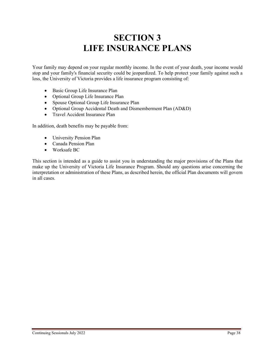# **SECTION 3 LIFE INSURANCE PLANS**

Your family may depend on your regular monthly income. In the event of your death, your income would stop and your family's financial security could be jeopardized. To help protect your family against such a loss, the University of Victoria provides a life insurance program consisting of:

- Basic Group Life Insurance Plan
- Optional Group Life Insurance Plan
- Spouse Optional Group Life Insurance Plan
- Optional Group Accidental Death and Dismemberment Plan (AD&D)
- Travel Accident Insurance Plan

In addition, death benefits may be payable from:

- University Pension Plan
- Canada Pension Plan
- Worksafe BC

This section is intended as a guide to assist you in understanding the major provisions of the Plans that make up the University of Victoria Life Insurance Program. Should any questions arise concerning the interpretation or administration of these Plans, as described herein, the official Plan documents will govern in all cases.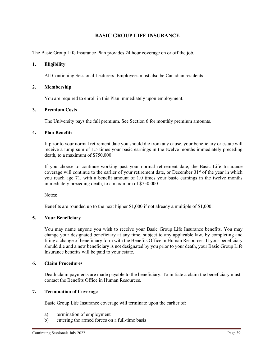# **BASIC GROUP LIFE INSURANCE**

The Basic Group Life Insurance Plan provides 24 hour coverage on or off the job.

#### **1. Eligibility**

All Continuing Sessional Lecturers. Employees must also be Canadian residents.

#### **2. Membership**

You are required to enroll in this Plan immediately upon employment.

#### **3. Premium Costs**

The University pays the full premium. See Section 6 for monthly premium amounts.

#### **4. Plan Benefits**

If prior to your normal retirement date you should die from any cause, your beneficiary or estate will receive a lump sum of 1.5 times your basic earnings in the twelve months immediately preceding death, to a maximum of \$750,000.

If you choose to continue working past your normal retirement date, the Basic Life Insurance coverage will continue to the earlier of your retirement date, or December 31<sup>st</sup> of the year in which you reach age 71, with a benefit amount of 1.0 times your basic earnings in the twelve months immediately preceding death, to a maximum of \$750,000.

Notes:

Benefits are rounded up to the next higher \$1,000 if not already a multiple of \$1,000.

#### **5. Your Beneficiary**

You may name anyone you wish to receive your Basic Group Life Insurance benefits. You may change your designated beneficiary at any time, subject to any applicable law, by completing and filing a change of beneficiary form with the Benefits Office in Human Resources. If your beneficiary should die and a new beneficiary is not designated by you prior to your death, your Basic Group Life Insurance benefits will be paid to your estate.

#### **6. Claim Procedures**

Death claim payments are made payable to the beneficiary. To initiate a claim the beneficiary must contact the Benefits Office in Human Resources.

#### **7. Termination of Coverage**

Basic Group Life Insurance coverage will terminate upon the earlier of:

- a) termination of employment
- b) entering the armed forces on a full-time basis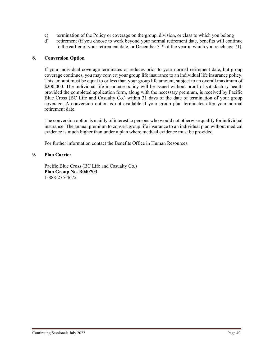- c) termination of the Policy or coverage on the group, division, or class to which you belong
- d) retirement (if you choose to work beyond your normal retirement date, benefits will continue to the earlier of your retirement date, or December  $31<sup>st</sup>$  of the year in which you reach age 71).

#### **8. Conversion Option**

If your individual coverage terminates or reduces prior to your normal retirement date, but group coverage continues, you may convert your group life insurance to an individual life insurance policy. This amount must be equal to or less than your group life amount, subject to an overall maximum of \$200,000. The individual life insurance policy will be issued without proof of satisfactory health provided the completed application form, along with the necessary premium, is received by Pacific Blue Cross (BC Life and Casualty Co.) within 31 days of the date of termination of your group coverage. A conversion option is not available if your group plan terminates after your normal retirement date.

The conversion option is mainly of interest to persons who would not otherwise qualify for individual insurance. The annual premium to convert group life insurance to an individual plan without medical evidence is much higher than under a plan where medical evidence must be provided.

For further information contact the Benefits Office in Human Resources.

#### **9. Plan Carrier**

Pacific Blue Cross (BC Life and Casualty Co.) **Plan Group No. B040703** 1-888-275-4672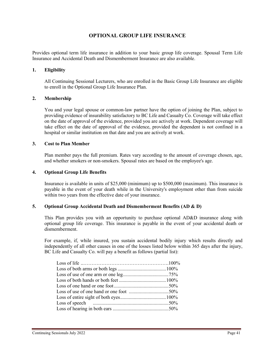# **OPTIONAL GROUP LIFE INSURANCE**

Provides optional term life insurance in addition to your basic group life coverage. Spousal Term Life Insurance and Accidental Death and Dismemberment Insurance are also available.

#### **1. Eligibility**

All Continuing Sessional Lecturers, who are enrolled in the Basic Group Life Insurance are eligible to enroll in the Optional Group Life Insurance Plan.

#### **2. Membership**

You and your legal spouse or common-law partner have the option of joining the Plan, subject to providing evidence of insurability satisfactory to BC Life and Casualty Co. Coverage will take effect on the date of approval of the evidence, provided you are actively at work. Dependent coverage will take effect on the date of approval of the evidence, provided the dependent is not confined in a hospital or similar institution on that date and you are actively at work.

#### **3. Cost to Plan Member**

Plan member pays the full premium. Rates vary according to the amount of coverage chosen, age, and whether smokers or non-smokers. Spousal rates are based on the employee's age.

#### **4. Optional Group Life Benefits**

Insurance is available in units of \$25,000 (minimum) up to \$500,000 (maximum). This insurance is payable in the event of your death while in the University's employment other than from suicide within two years from the effective date of your insurance.

#### **5. Optional Group Accidental Death and Dismemberment Benefits (AD & D)**

This Plan provides you with an opportunity to purchase optional AD&D insurance along with optional group life coverage. This insurance is payable in the event of your accidental death or dismemberment.

For example, if, while insured, you sustain accidental bodily injury which results directly and independently of all other causes in one of the losses listed below within 365 days after the injury, BC Life and Casualty Co. will pay a benefit as follows (partial list):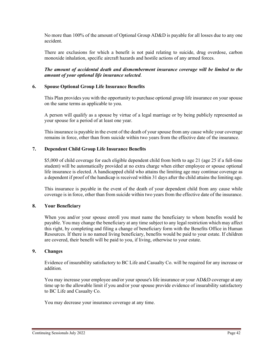No more than 100% of the amount of Optional Group AD&D is payable for all losses due to any one accident.

There are exclusions for which a benefit is not paid relating to suicide, drug overdose, carbon monoxide inhalation, specific aircraft hazards and hostile actions of any armed forces.

*The amount of accidental death and dismemberment insurance coverage will be limited to the amount of your optional life insurance selected*.

#### **6. Spouse Optional Group Life Insurance Benefits**

This Plan provides you with the opportunity to purchase optional group life insurance on your spouse on the same terms as applicable to you.

A person will qualify as a spouse by virtue of a legal marriage or by being publicly represented as your spouse for a period of at least one year.

This insurance is payable in the event of the death of your spouse from any cause while your coverage remains in force, other than from suicide within two years from the effective date of the insurance.

#### **7. Dependent Child Group Life Insurance Benefits**

\$5,000 of child coverage for each eligible dependent child from birth to age 21 (age 25 if a full-time student) will be automatically provided at no extra charge when either employee or spouse optional life insurance is elected. A handicapped child who attains the limiting age may continue coverage as a dependent if proof of the handicap is received within 31 days after the child attains the limiting age.

This insurance is payable in the event of the death of your dependent child from any cause while coverage is in force, other than from suicide within two years from the effective date of the insurance.

#### **8. Your Beneficiary**

When you and/or your spouse enroll you must name the beneficiary to whom benefits would be payable. You may change the beneficiary at any time subject to any legal restriction which may affect this right, by completing and filing a change of beneficiary form with the Benefits Office in Human Resources. If there is no named living beneficiary, benefits would be paid to your estate. If children are covered, their benefit will be paid to you, if living, otherwise to your estate.

#### **9. Changes**

Evidence of insurability satisfactory to BC Life and Casualty Co. will be required for any increase or addition.

You may increase your employee and/or your spouse's life insurance or your AD&D coverage at any time up to the allowable limit if you and/or your spouse provide evidence of insurability satisfactory to BC Life and Casualty Co.

You may decrease your insurance coverage at any time.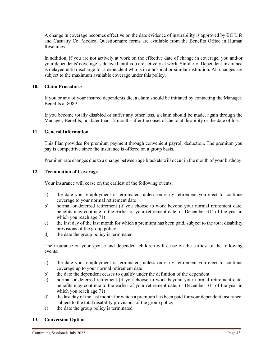A change in coverage becomes effective on the date evidence of insurability is approved by BC Life and Casualty Co. Medical Questionnaire forms are available from the Benefits Office in Human Resources.

In addition, if you are not actively at work on the effective date of change in coverage, you and/or your dependents' coverage is delayed until you are actively at work. Similarly, Dependent Insurance is delayed until discharge for a dependent who is in a hospital or similar institution. All changes are subject to the maximum available coverage under this policy.

#### **10. Claim Procedures**

If you or any of your insured dependents die, a claim should be initiated by contacting the Manager, Benefits at 8089.

If you become totally disabled or suffer any other loss, a claim should be made, again through the Manager, Benefits, not later than 12 months after the onset of the total disability or the date of loss.

#### **11. General Information**

This Plan provides for premium payment through convenient payroll deduction. The premium you pay is competitive since the insurance is offered on a group basis.

Premium rate changes due to a change between age brackets will occur in the month of your birthday.

#### **12. Termination of Coverage**

Your insurance will cease on the earliest of the following events:

- a) the date your employment is terminated, unless on early retirement you elect to continue coverage to your normal retirement date
- b) normal or deferred retirement (if you choose to work beyond your normal retirement date, benefits may continue to the earlier of your retirement date, or December  $31<sup>st</sup>$  of the year in which you reach age 71)
- c) the last day of the last month for which a premium has been paid, subject to the total disability provisions of the group policy
- d) the date the group policy is terminated

The insurance on your spouse and dependent children will cease on the earliest of the following events:

- a) the date your employment is terminated, unless on early retirement you elect to continue coverage up to your normal retirement date
- b) the date the dependent ceases to qualify under the definition of the dependent
- c) normal or deferred retirement (if you choose to work beyond your normal retirement date, benefits may continue to the earlier of your retirement date, or December 31<sup>st</sup> of the year in which you reach age 71)
- d) the last day of the last month for which a premium has been paid for your dependent insurance, subject to the total disability provisions of the group policy
- e) the date the group policy is terminated

# **13. Conversion Option**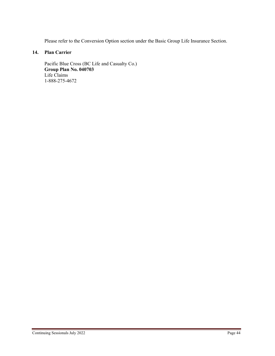Please refer to the Conversion Option section under the Basic Group Life Insurance Section.

# **14. Plan Carrier**

Pacific Blue Cross (BC Life and Casualty Co.) **Group Plan No. 040703** Life Claims 1-888-275-4672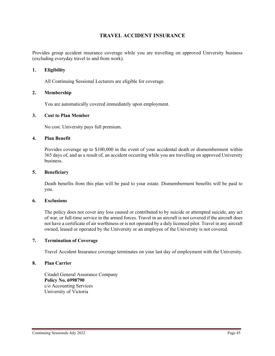# **TRAVEL ACCIDENT INSURANCE**

Provides group accident insurance coverage while you are travelling on approved University business (excluding everyday travel to and from work).

#### **1. Eligibility**

All Continuing Sessional Lecturers are eligible for coverage.

#### **2. Membership**

You are automatically covered immediately upon employment.

#### **3. Cost to Plan Member**

No cost. University pays full premium.

#### **4. Plan Benefit**

Provides coverage up to \$100,000 in the event of your accidental death or dismemberment within 365 days of, and as a result of, an accident occurring while you are travelling on approved University business.

#### **5. Beneficiary**

Death benefits from this plan will be paid to your estate. Dismemberment benefits will be paid to you.

#### **6. Exclusions**

The policy does not cover any loss caused or contributed to by suicide or attempted suicide, any act of war, or full-time service in the armed forces. Travel in an aircraft is not covered if the aircraft does not have a certificate of air worthiness or is not operated by a duly licensed pilot. Travel in any aircraft owned, leased or operated by the University or an employee of the University is not covered.

#### **7. Termination of Coverage**

Travel Accident Insurance coverage terminates on your last day of employment with the University.

#### **8. Plan Carrier**

Citadel General Assurance Company **Policy No. 6998790** c/o Accounting Services University of Victoria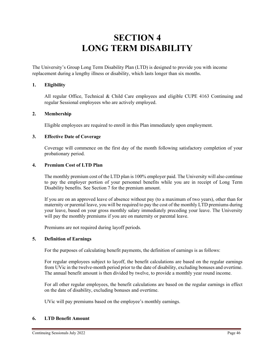# **SECTION 4 LONG TERM DISABILITY**

The University's Group Long Term Disability Plan (LTD) is designed to provide you with income replacement during a lengthy illness or disability, which lasts longer than six months.

#### **1. Eligibility**

All regular Office, Technical & Child Care employees and eligible CUPE 4163 Continuing and regular Sessional employees who are actively employed.

#### **2. Membership**

Eligible employees are required to enroll in this Plan immediately upon employment.

#### **3. Effective Date of Coverage**

Coverage will commence on the first day of the month following satisfactory completion of your probationary period.

#### **4. Premium Cost of LTD Plan**

The monthly premium cost of the LTD plan is 100% employer paid. The University will also continue to pay the employer portion of your personnel benefits while you are in receipt of Long Term Disability benefits. See Section 7 for the premium amount.

If you are on an approved leave of absence without pay (to a maximum of two years), other than for maternity or parental leave, you will be required to pay the cost of the monthly LTD premiums during your leave, based on your gross monthly salary immediately preceding your leave. The University will pay the monthly premiums if you are on maternity or parental leave.

Premiums are not required during layoff periods.

#### **5. Definition of Earnings**

For the purposes of calculating benefit payments, the definition of earnings is as follows:

For regular employees subject to layoff, the benefit calculations are based on the regular earnings from UVic in the twelve-month period prior to the date of disability, excluding bonuses and overtime. The annual benefit amount is then divided by twelve, to provide a monthly year round income.

For all other regular employees, the benefit calculations are based on the regular earnings in effect on the date of disability, excluding bonuses and overtime.

UVic will pay premiums based on the employee's monthly earnings.

#### **6. LTD Benefit Amount**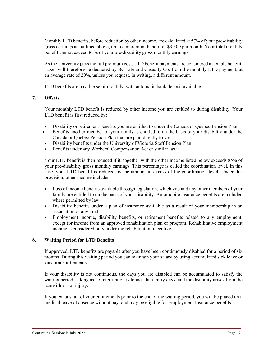Monthly LTD benefits, before reduction by other income, are calculated at 57% of your pre-disability gross earnings as outlined above, up to a maximum benefit of \$3,500 per month. Your total monthly benefit cannot exceed 85% of your pre-disability gross monthly earnings.

As the University pays the full premium cost, LTD benefit payments are considered a taxable benefit. Taxes will therefore be deducted by BC Life and Casualty Co. from the monthly LTD payment, at an average rate of 20%, unless you request, in writing, a different amount.

LTD benefits are payable semi-monthly, with automatic bank deposit available.

#### **7. Offsets**

Your monthly LTD benefit is reduced by other income you are entitled to during disability. Your LTD benefit is first reduced by:

- Disability or retirement benefits you are entitled to under the Canada or Quebec Pension Plan.
- Benefits another member of your family is entitled to on the basis of your disability under the Canada or Quebec Pension Plan that are paid directly to you.
- Disability benefits under the University of Victoria Staff Pension Plan.
- Benefits under any Workers' Compensation Act or similar law.

Your LTD benefit is then reduced if it, together with the other income listed below exceeds 85% of your pre-disability gross monthly earnings. This percentage is called the coordination level. In this case, your LTD benefit is reduced by the amount in excess of the coordination level. Under this provision, other income includes:

- Loss of income benefits available through legislation, which you and any other members of your family are entitled to on the basis of your disability. Automobile insurance benefits are included where permitted by law.
- Disability benefits under a plan of insurance available as a result of your membership in an association of any kind.
- Employment income, disability benefits, or retirement benefits related to any employment, except for income from an approved rehabilitation plan or program. Rehabilitative employment income is considered only under the rehabilitation incentive**.**

#### **8. Waiting Period for LTD Benefits**

If approved, LTD benefits are payable after you have been continuously disabled for a period of six months. During this waiting period you can maintain your salary by using accumulated sick leave or vacation entitlements.

If your disability is not continuous, the days you are disabled can be accumulated to satisfy the waiting period as long as no interruption is longer than thirty days, and the disability arises from the same illness or injury.

If you exhaust all of your entitlements prior to the end of the waiting period, you will be placed on a medical leave of absence without pay, and may be eligible for Employment Insurance benefits.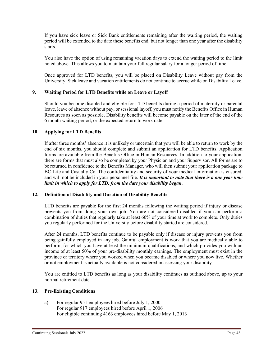If you have sick leave or Sick Bank entitlements remaining after the waiting period, the waiting period will be extended to the date these benefits end, but not longer than one year after the disability starts.

You also have the option of using remaining vacation days to extend the waiting period to the limit noted above*.* This allows you to maintain your full regular salary for a longer period of time.

Once approved for LTD benefits, you will be placed on Disability Leave without pay from the University. Sick leave and vacation entitlements do not continue to accrue while on Disability Leave.

#### **9. Waiting Period for LTD Benefits while on Leave or Layoff**

Should you become disabled and eligible for LTD benefits during a period of maternity or parental leave, leave of absence without pay, or sessional layoff, you must notify the Benefits Office in Human Resources as soon as possible. Disability benefits will become payable on the later of the end of the 6 month waiting period, or the expected return to work date.

#### **10. Applying for LTD Benefits**

If after three months' absence it is unlikely or uncertain that you will be able to return to work by the end of six months, you should complete and submit an application for LTD benefits. Application forms are available from the Benefits Office in Human Resources. In addition to your application, there are forms that must also be completed by your Physician and your Supervisor. All forms are to be returned in confidence to the Benefits Manager, who will then submit your application package to BC Life and Casualty Co. The confidentiality and security of your medical information is ensured, and will not be included in your personnel file. *It is important to note that there is a one year time limit in which to apply for LTD, from the date your disability began*.

#### **12. Definition of Disability and Duration of Disability Benefits**

LTD benefits are payable for the first 24 months following the waiting period if injury or disease prevents you from doing your own job. You are not considered disabled if you can perform a combination of duties that regularly take at least 60% of your time at work to complete. Only duties you regularly performed for the University before disability started are considered.

After 24 months, LTD benefits continue to be payable only if disease or injury prevents you from being gainfully employed in any job. Gainful employment is work that you are medically able to perform, for which you have at least the minimum qualifications, and which provides you with an income of at least 50% of your pre-disability monthly earnings. The employment must exist in the province or territory where you worked when you became disabled or where you now live. Whether or not employment is actually available is not considered in assessing your disability.

You are entitled to LTD benefits as long as your disability continues as outlined above, up to your normal retirement date.

#### **13. Pre-Existing Conditions**

a) For regular 951 employees hired before July 1, 2000 For regular 917 employees hired before April 1, 2006 For eligible continuing 4163 employees hired before May 1, 2013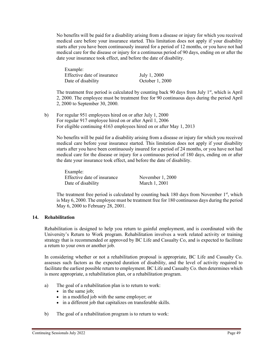No benefits will be paid for a disability arising from a disease or injury for which you received medical care before your insurance started. This limitation does not apply if your disability starts after you have been continuously insured for a period of 12 months, or you have not had medical care for the disease or injury for a continuous period of 90 days, ending on or after the date your insurance took effect, and before the date of disability.

Example: Effective date of insurance July 1, 2000 Date of disability October 1, 2000

The treatment free period is calculated by counting back 90 days from July  $1<sup>st</sup>$ , which is April 2, 2000. The employee must be treatment free for 90 continuous days during the period April 2, 2000 to September 30, 2000.

b) For regular 951 employees hired on or after July 1, 2000 For regular 917 employee hired on or after April 1, 2006 For eligible continuing 4163 employees hired on or after May 1, 2013

No benefits will be paid for a disability arising from a disease or injury for which you received medical care before your insurance started. This limitation does not apply if your disability starts after you have been continuously insured for a period of 24 months, or you have not had medical care for the disease or injury for a continuous period of 180 days, ending on or after the date your insurance took effect, and before the date of disability.

Example: Effective date of insurance November 1, 2000 Date of disability March 1, 2001

The treatment free period is calculated by counting back 180 days from November  $1<sup>st</sup>$ , which is May 6, 2000. The employee must be treatment free for 180 continuous days during the period May 6, 2000 to February 28, 2001.

# **14. Rehabilitation**

Rehabilitation is designed to help you return to gainful employment, and is coordinated with the University's Return to Work program. Rehabilitation involves a work related activity or training strategy that is recommended or approved by BC Life and Casualty Co, and is expected to facilitate a return to your own or another job.

In considering whether or not a rehabilitation proposal is appropriate, BC Life and Casualty Co. assesses such factors as the expected duration of disability, and the level of activity required to facilitate the earliest possible return to employment. BC Life and Casualty Co. then determines which is more appropriate, a rehabilitation plan, or a rehabilitation program.

- a) The goal of a rehabilitation plan is to return to work:
	- in the same job;
	- in a modified job with the same employer; or
	- in a different job that capitalizes on transferable skills.
- b) The goal of a rehabilitation program is to return to work: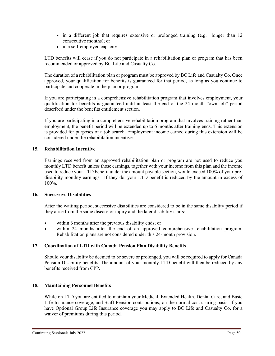- in a different job that requires extensive or prolonged training (e.g. longer than 12 consecutive months); or
- in a self-employed capacity.

LTD benefits will cease if you do not participate in a rehabilitation plan or program that has been recommended or approved by BC Life and Casualty Co.

The duration of a rehabilitation plan or program must be approved by BC Life and Casualty Co. Once approved, your qualification for benefits is guaranteed for that period, as long as you continue to participate and cooperate in the plan or program.

If you are participating in a comprehensive rehabilitation program that involves employment, your qualification for benefits is guaranteed until at least the end of the 24 month "own job" period described under the benefits entitlement section.

If you are participating in a comprehensive rehabilitation program that involves training rather than employment, the benefit period will be extended up to 6 months after training ends. This extension is provided for purposes of a job search. Employment income earned during this extension will be considered under the rehabilitation incentive.

#### **15. Rehabilitation Incentive**

Earnings received from an approved rehabilitation plan or program are not used to reduce you monthly LTD benefit unless those earnings, together with your income from this plan and the income used to reduce your LTD benefit under the amount payable section, would exceed 100% of your predisability monthly earnings. If they do, your LTD benefit is reduced by the amount in excess of 100%.

#### **16. Successive Disabilities**

After the waiting period, successive disabilities are considered to be in the same disability period if they arise from the same disease or injury and the later disability starts:

- within 6 months after the previous disability ends; or
- within 24 months after the end of an approved comprehensive rehabilitation program. Rehabilitation plans are not considered under this 24-month provision.

# **17. Coordination of LTD with Canada Pension Plan Disability Benefits**

Should your disability be deemed to be severe or prolonged, you will be required to apply for Canada Pension Disability benefits. The amount of your monthly LTD benefit will then be reduced by any benefits received from CPP.

# **18. Maintaining Personnel Benefits**

While on LTD you are entitled to maintain your Medical, Extended Health, Dental Care, and Basic Life Insurance coverage, and Staff Pension contributions, on the normal cost sharing basis. If you have Optional Group Life Insurance coverage you may apply to BC Life and Casualty Co. for a waiver of premiums during this period.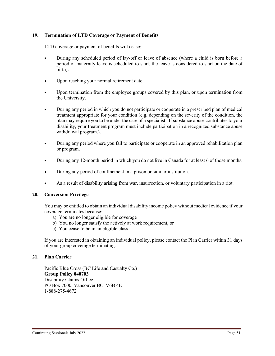#### **19. Termination of LTD Coverage or Payment of Benefits**

LTD coverage or payment of benefits will cease:

- During any scheduled period of lay-off or leave of absence (where a child is born before a period of maternity leave is scheduled to start, the leave is considered to start on the date of birth).
- Upon reaching your normal retirement date.
- Upon termination from the employee groups covered by this plan, or upon termination from the University.
- During any period in which you do not participate or cooperate in a prescribed plan of medical treatment appropriate for your condition (e.g. depending on the severity of the condition, the plan may require you to be under the care of a specialist. If substance abuse contributes to your disability, your treatment program must include participation in a recognized substance abuse withdrawal program.).
- During any period where you fail to participate or cooperate in an approved rehabilitation plan or program.
- During any 12-month period in which you do not live in Canada for at least 6 of those months.
- During any period of confinement in a prison or similar institution.
- As a result of disability arising from war, insurrection, or voluntary participation in a riot.

#### **20. Conversion Privilege**

You may be entitled to obtain an individual disability income policy without medical evidence if your coverage terminates because:

- a) You are no longer eligible for coverage
- b) You no longer satisfy the actively at work requirement, or
- c) You cease to be in an eligible class

If you are interested in obtaining an individual policy, please contact the Plan Carrier within 31 days of your group coverage terminating.

#### **21. Plan Carrier**

Pacific Blue Cross (BC Life and Casualty Co.) **Group Policy 040703** Disability Claims Office PO Box 7000, Vancouver BC V6B 4E1 1-888-275-4672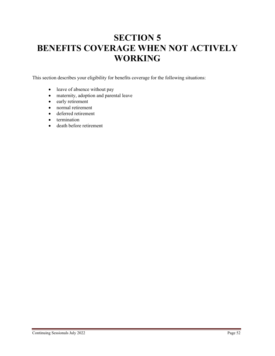# **SECTION 5 BENEFITS COVERAGE WHEN NOT ACTIVELY WORKING**

This section describes your eligibility for benefits coverage for the following situations:

- leave of absence without pay
- maternity, adoption and parental leave
- early retirement
- normal retirement
- deferred retirement
- termination
- death before retirement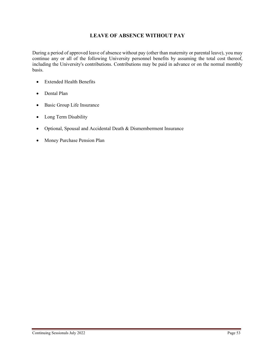# **LEAVE OF ABSENCE WITHOUT PAY**

During a period of approved leave of absence without pay (other than maternity or parental leave), you may continue any or all of the following University personnel benefits by assuming the total cost thereof, including the University's contributions. Contributions may be paid in advance or on the normal monthly basis.

- Extended Health Benefits
- Dental Plan
- Basic Group Life Insurance
- Long Term Disability
- Optional, Spousal and Accidental Death & Dismemberment Insurance
- Money Purchase Pension Plan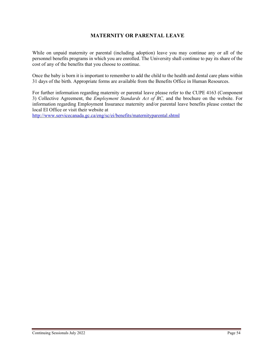# **MATERNITY OR PARENTAL LEAVE**

While on unpaid maternity or parental (including adoption) leave you may continue any or all of the personnel benefits programs in which you are enrolled. The University shall continue to pay its share of the cost of any of the benefits that you choose to continue.

Once the baby is born it is important to remember to add the child to the health and dental care plans within 31 days of the birth. Appropriate forms are available from the Benefits Office in Human Resources.

For further information regarding maternity or parental leave please refer to the CUPE 4163 (Component 3) Collective Agreement, the *Employment Standards Act of BC,* and the brochure on the website. For information regarding Employment Insurance maternity and/or parental leave benefits please contact the local EI Office or visit their website at

<http://www.servicecanada.gc.ca/eng/sc/ei/benefits/maternityparental.shtml>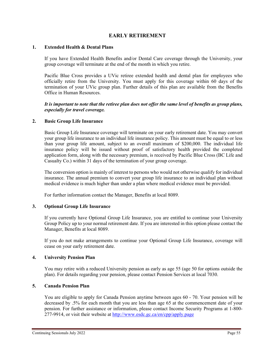# **EARLY RETIREMENT**

#### **1. Extended Health & Dental Plans**

If you have Extended Health Benefits and/or Dental Care coverage through the University, your group coverage will terminate at the end of the month in which you retire.

Pacific Blue Cross provides a UVic retiree extended health and dental plan for employees who officially retire from the University. You must apply for this coverage within 60 days of the termination of your UVic group plan. Further details of this plan are available from the Benefits Office in Human Resources.

*It is important to note that the retiree plan does not offer the same level of benefits as group plans, especially for travel coverage.*

#### **2. Basic Group Life Insurance**

Basic Group Life Insurance coverage will terminate on your early retirement date. You may convert your group life insurance to an individual life insurance policy. This amount must be equal to or less than your group life amount, subject to an overall maximum of \$200,000. The individual life insurance policy will be issued without proof of satisfactory health provided the completed application form, along with the necessary premium, is received by Pacific Blue Cross (BC Life and Casualty Co.) within 31 days of the termination of your group coverage.

The conversion option is mainly of interest to persons who would not otherwise qualify for individual insurance. The annual premium to convert your group life insurance to an individual plan without medical evidence is much higher than under a plan where medical evidence must be provided.

For further information contact the Manager, Benefits at local 8089.

#### **3. Optional Group Life Insurance**

If you currently have Optional Group Life Insurance, you are entitled to continue your University Group Policy up to your normal retirement date. If you are interested in this option please contact the Manager, Benefits at local 8089.

If you do not make arrangements to continue your Optional Group Life Insurance, coverage will cease on your early retirement date.

#### **4. University Pension Plan**

You may retire with a reduced University pension as early as age 55 (age 50 for options outside the plan). For details regarding your pension, please contact Pension Services at local 7030.

#### **5. Canada Pension Plan**

You are eligible to apply for Canada Pension anytime between ages 60 - 70. Your pension will be decreased by .5% for each month that you are less than age 65 at the commencement date of your pension. For further assistance or information, please contact Income Security Programs at 1-800-  $277-9914$ , or visit their website at<http://www.esdc.gc.ca/en/cpp/apply.page>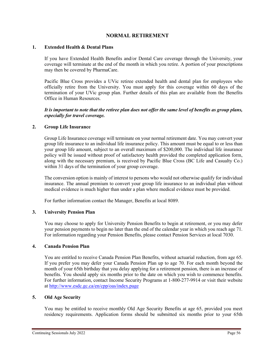# **NORMAL RETIREMENT**

#### **1. Extended Health & Dental Plans**

If you have Extended Health Benefits and/or Dental Care coverage through the University, your coverage will terminate at the end of the month in which you retire. A portion of your prescriptions may then be covered by PharmaCare.

Pacific Blue Cross provides a UVic retiree extended health and dental plan for employees who officially retire from the University. You must apply for this coverage within 60 days of the termination of your UVic group plan. Further details of this plan are available from the Benefits Office in Human Resources.

#### *It is important to note that the retiree plan does not offer the same level of benefits as group plans, especially for travel coverage.*

#### **2. Group Life Insurance**

Group Life Insurance coverage will terminate on your normal retirement date. You may convert your group life insurance to an individual life insurance policy. This amount must be equal to or less than your group life amount, subject to an overall maximum of \$200,000. The individual life insurance policy will be issued without proof of satisfactory health provided the completed application form, along with the necessary premium, is received by Pacific Blue Cross (BC Life and Casualty Co.) within 31 days of the termination of your group coverage.

The conversion option is mainly of interest to persons who would not otherwise qualify for individual insurance. The annual premium to convert your group life insurance to an individual plan without medical evidence is much higher than under a plan where medical evidence must be provided.

For further information contact the Manager, Benefits at local 8089.

#### **3. University Pension Plan**

You may choose to apply for University Pension Benefits to begin at retirement, or you may defer your pension payments to begin no later than the end of the calendar year in which you reach age 71. For information regarding your Pension Benefits, please contact Pension Services at local 7030.

#### **4. Canada Pension Plan**

You are entitled to receive Canada Pension Plan Benefits, without actuarial reduction, from age 65. If you prefer you may defer your Canada Pension Plan up to age 70. For each month beyond the month of your 65th birthday that you delay applying for a retirement pension, there is an increase of benefits. You should apply six months prior to the date on which you wish to commence benefits. For further information, contact Income Security Programs at 1-800-277-9914 or visit their website at<http://www.esdc.gc.ca/en/cpp/oas/index.page>

#### **5. Old Age Security**

You may be entitled to receive monthly Old Age Security Benefits at age 65, provided you meet residency requirements. Application forms should be submitted six months prior to your 65th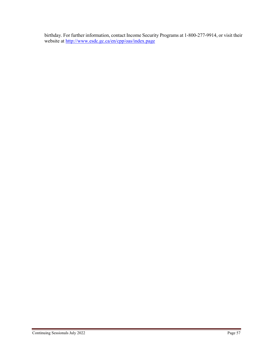birthday. For further information, contact Income Security Programs at 1-800-277-9914, or visit their website at<http://www.esdc.gc.ca/en/cpp/oas/index.page>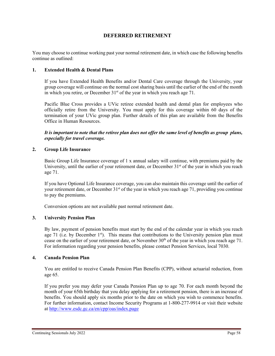# **DEFERRED RETIREMENT**

You may choose to continue working past your normal retirement date, in which case the following benefits continue as outlined:

#### **1. Extended Health & Dental Plans**

If you have Extended Health Benefits and/or Dental Care coverage through the University, your group coverage will continue on the normal cost sharing basis until the earlier of the end of the month in which you retire, or December  $31<sup>st</sup>$  of the year in which you reach age 71.

Pacific Blue Cross provides a UVic retiree extended health and dental plan for employees who officially retire from the University. You must apply for this coverage within 60 days of the termination of your UVic group plan. Further details of this plan are available from the Benefits Office in Human Resources.

*It is important to note that the retiree plan does not offer the same level of benefits as group plans, especially for travel coverage.*

#### **2. Group Life Insurance**

Basic Group Life Insurance coverage of 1 x annual salary will continue, with premiums paid by the University, until the earlier of your retirement date, or December  $31<sup>st</sup>$  of the year in which you reach age 71.

If you have Optional Life Insurance coverage, you can also maintain this coverage until the earlier of your retirement date, or December 31<sup>st</sup> of the year in which you reach age 71, providing you continue to pay the premiums.

Conversion options are not available past normal retirement date.

# **3. University Pension Plan**

By law, payment of pension benefits must start by the end of the calendar year in which you reach age 71 (i.e. by December  $1<sup>st</sup>$ ). This means that contributions to the University pension plan must cease on the earlier of your retirement date, or November 30<sup>th</sup> of the year in which you reach age 71. For information regarding your pension benefits, please contact Pension Services, local 7030.

#### **4. Canada Pension Plan**

You are entitled to receive Canada Pension Plan Benefits (CPP), without actuarial reduction, from age 65.

If you prefer you may defer your Canada Pension Plan up to age 70. For each month beyond the month of your 65th birthday that you delay applying for a retirement pension, there is an increase of benefits. You should apply six months prior to the date on which you wish to commence benefits. For further information, contact Income Security Programs at 1-800-277-9914 or visit their website at<http://www.esdc.gc.ca/en/cpp/oas/index.page>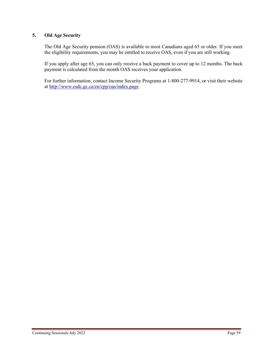# **5. Old Age Security**

The Old Age Security pension (OAS) is available to most Canadians aged 65 or older. If you meet the eligibility requirements, you may be entitled to receive OAS, even if you are still working.

If you apply after age 65, you can only receive a back payment to cover up to 12 months. The back payment is calculated from the month OAS receives your application.

For further information, contact Income Security Programs at 1-800-277-9914, or visit their website at<http://www.esdc.gc.ca/en/cpp/oas/index.page>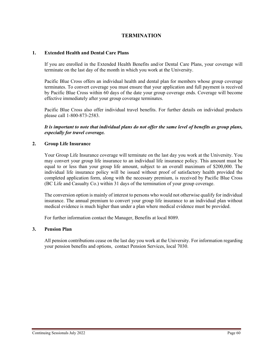# **TERMINATION**

#### **1. Extended Health and Dental Care Plans**

If you are enrolled in the Extended Health Benefits and/or Dental Care Plans, your coverage will terminate on the last day of the month in which you work at the University.

Pacific Blue Cross offers an individual health and dental plan for members whose group coverage terminates. To convert coverage you must ensure that your application and full payment is received by Pacific Blue Cross within 60 days of the date your group coverage ends. Coverage will become effective immediately after your group coverage terminates.

Pacific Blue Cross also offer individual travel benefits. For further details on individual products please call 1-800-873-2583.

*It is important to note that individual plans do not offer the same level of benefits as group plans, especially for travel coverage.*

#### **2. Group Life Insurance**

Your Group Life Insurance coverage will terminate on the last day you work at the University. You may convert your group life insurance to an individual life insurance policy. This amount must be equal to or less than your group life amount, subject to an overall maximum of \$200,000. The individual life insurance policy will be issued without proof of satisfactory health provided the completed application form, along with the necessary premium, is received by Pacific Blue Cross (BC Life and Casualty Co.) within 31 days of the termination of your group coverage.

The conversion option is mainly of interest to persons who would not otherwise qualify for individual insurance. The annual premium to convert your group life insurance to an individual plan without medical evidence is much higher than under a plan where medical evidence must be provided.

For further information contact the Manager, Benefits at local 8089.

#### **3. Pension Plan**

All pension contributions cease on the last day you work at the University. For information regarding your pension benefits and options, contact Pension Services, local 7030.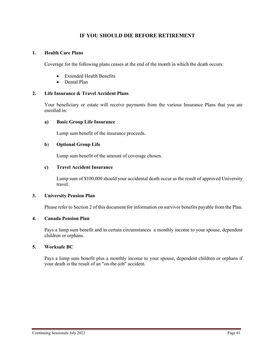# **IF YOU SHOULD DIE BEFORE RETIREMENT**

#### **1. Health Care Plans**

Coverage for the following plans ceases at the end of the month in which the death occurs:

- Extended Health Benefits
- Dental Plan

#### **2. Life Insurance & Travel Accident Plans**

Your beneficiary or estate will receive payments from the various Insurance Plans that you are enrolled in:

#### **a) Basic Group Life Insurance**

Lump sum benefit of the insurance proceeds.

#### **b**) **Optional Group Life**

Lump sum benefit of the amount of coverage chosen.

#### **c) Travel Accident Insurance**

Lump sum of \$100,000 should your accidental death occur as the result of approved University travel.

#### **3. University Pension Plan**

Please refer to Section 2 of this document for information on survivor benefits payable from the Plan.

#### **4. Canada Pension Plan**

Pays a lump sum benefit and in certain circumstances a monthly income to your spouse, dependent children or orphans.

#### **5. Worksafe BC**

Pays a lump sum benefit plus a monthly income to your spouse, dependent children or orphans if your death is the result of an "on-the-job" accident.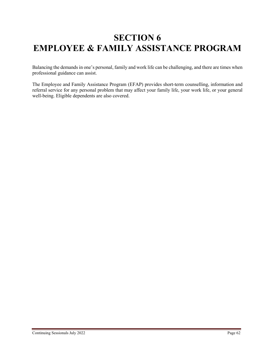# **SECTION 6 EMPLOYEE & FAMILY ASSISTANCE PROGRAM**

Balancing the demands in one's personal, family and work life can be challenging, and there are times when professional guidance can assist.

The Employee and Family Assistance Program (EFAP) provides short-term counselling, information and referral service for any personal problem that may affect your family life, your work life, or your general well-being. Eligible dependents are also covered.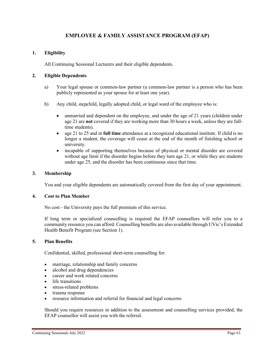# **EMPLOYEE & FAMILY ASSISTANCE PROGRAM (EFAP)**

### **1. Eligibility**

All Continuing Sessional Lecturers and their eligible dependents.

#### **2. Eligible Dependents**

- a) Your legal spouse or common-law partner (a common-law partner is a person who has been publicly represented as your spouse for at least one year).
- b) Any child, stepchild, legally adopted child, or legal ward of the employee who is:
	- unmarried and dependent on the employee, and under the age of 21 years (children under age 21 are **not** covered if they are working more than 30 hours a week, unless they are fulltime students).
	- age 21 to 25 and in **full time** attendance at a recognized educational institute. If child is no longer a student, the coverage will cease at the end of the month of finishing school or university.
	- incapable of supporting themselves because of physical or mental disorder are covered without age limit if the disorder begins before they turn age 21, or while they are students under age 25, and the disorder has been continuous since that time.

#### **3. Membership**

You and your eligible dependents are automatically covered from the first day of your appointment.

#### **4. Cost to Plan Member**

No cost - the University pays the full premium of this service.

If long term or specialized counselling is required the EFAP counsellors will refer you to a community resource you can afford. Counselling benefits are also available through UVic's Extended Health Benefit Program (see Section 1).

#### **5. Plan Benefits**

Confidential, skilled, professional short-term counselling for:

- marriage, relationship and family concerns
- alcohol and drug dependencies
- career and work related concerns
- life transitions
- stress-related problems
- trauma response
- resource information and referral for financial and legal concerns

Should you require resources in addition to the assessment and counselling services provided, the EFAP counsellor will assist you with the referral.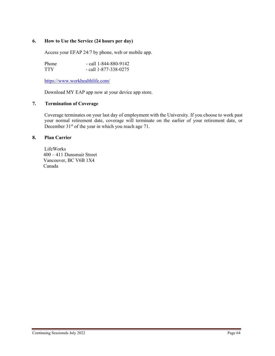#### **6. How to Use the Service (24 hours per day)**

Access your EFAP 24/7 by phone, web or mobile app.

| <b>Phone</b> | $-$ call 1-844-880-9142 |
|--------------|-------------------------|
| TTY          | $-$ call 1-877-338-0275 |

<https://www.workhealthlife.com/>

Download MY EAP app now at your device app store.

#### **7. Termination of Coverage**

Coverage terminates on your last day of employment with the University. If you choose to work past your normal retirement date, coverage will terminate on the earlier of your retirement date, or December 31<sup>st</sup> of the year in which you reach age 71.

#### **8. Plan Carrier**

LifeWorks 400 – 411 Dunsmuir Street Vancouver, BC V6B 1X4 Canada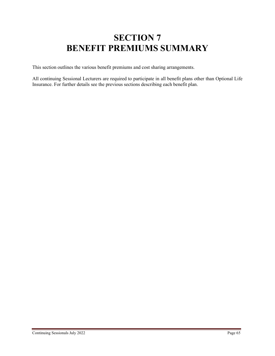# **SECTION 7 BENEFIT PREMIUMS SUMMARY**

This section outlines the various benefit premiums and cost sharing arrangements.

All continuing Sessional Lecturers are required to participate in all benefit plans other than Optional Life Insurance. For further details see the previous sections describing each benefit plan.